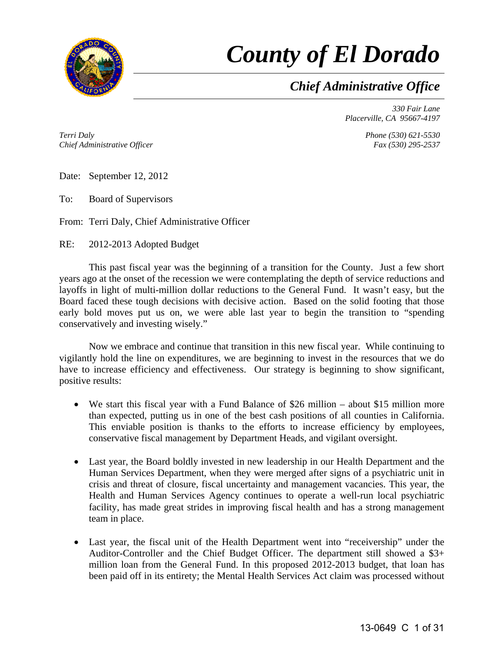

# *County of El Dorado*

*Chief Administrative Office*

*330 Fair Lane Placerville, CA 95667-4197* 

*Terri Daly Chief Administrative Officer* *Phone (530) 621-5530 Fax (530) 295-2537* 

Date: September 12, 2012

To: Board of Supervisors

From: Terri Daly, Chief Administrative Officer

RE: 2012-2013 Adopted Budget

 This past fiscal year was the beginning of a transition for the County. Just a few short years ago at the onset of the recession we were contemplating the depth of service reductions and layoffs in light of multi-million dollar reductions to the General Fund. It wasn't easy, but the Board faced these tough decisions with decisive action. Based on the solid footing that those early bold moves put us on, we were able last year to begin the transition to "spending conservatively and investing wisely."

 Now we embrace and continue that transition in this new fiscal year. While continuing to vigilantly hold the line on expenditures, we are beginning to invest in the resources that we do have to increase efficiency and effectiveness. Our strategy is beginning to show significant, positive results:

- We start this fiscal year with a Fund Balance of \$26 million about \$15 million more than expected, putting us in one of the best cash positions of all counties in California. This enviable position is thanks to the efforts to increase efficiency by employees, conservative fiscal management by Department Heads, and vigilant oversight.
- Last year, the Board boldly invested in new leadership in our Health Department and the Human Services Department, when they were merged after signs of a psychiatric unit in crisis and threat of closure, fiscal uncertainty and management vacancies. This year, the Health and Human Services Agency continues to operate a well-run local psychiatric facility, has made great strides in improving fiscal health and has a strong management team in place.
- Last year, the fiscal unit of the Health Department went into "receivership" under the Auditor-Controller and the Chief Budget Officer. The department still showed a \$3+ million loan from the General Fund. In this proposed 2012-2013 budget, that loan has been paid off in its entirety; the Mental Health Services Act claim was processed without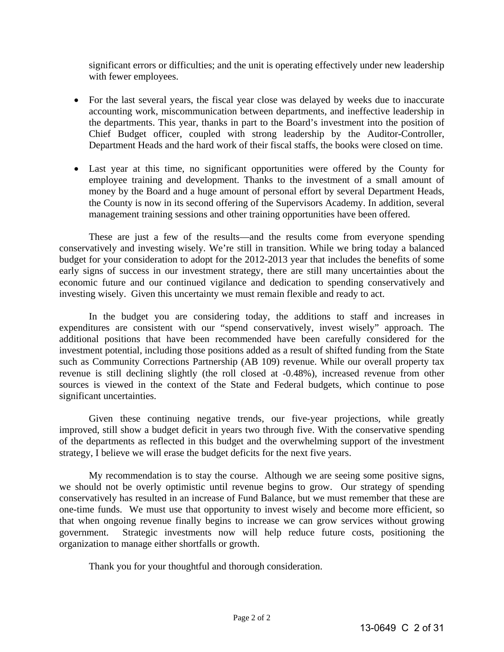significant errors or difficulties; and the unit is operating effectively under new leadership with fewer employees.

- For the last several years, the fiscal year close was delayed by weeks due to inaccurate accounting work, miscommunication between departments, and ineffective leadership in the departments. This year, thanks in part to the Board's investment into the position of Chief Budget officer, coupled with strong leadership by the Auditor-Controller, Department Heads and the hard work of their fiscal staffs, the books were closed on time.
- Last year at this time, no significant opportunities were offered by the County for employee training and development. Thanks to the investment of a small amount of money by the Board and a huge amount of personal effort by several Department Heads, the County is now in its second offering of the Supervisors Academy. In addition, several management training sessions and other training opportunities have been offered.

 These are just a few of the results—and the results come from everyone spending conservatively and investing wisely. We're still in transition. While we bring today a balanced budget for your consideration to adopt for the 2012-2013 year that includes the benefits of some early signs of success in our investment strategy, there are still many uncertainties about the economic future and our continued vigilance and dedication to spending conservatively and investing wisely. Given this uncertainty we must remain flexible and ready to act.

 In the budget you are considering today, the additions to staff and increases in expenditures are consistent with our "spend conservatively, invest wisely" approach. The additional positions that have been recommended have been carefully considered for the investment potential, including those positions added as a result of shifted funding from the State such as Community Corrections Partnership (AB 109) revenue. While our overall property tax revenue is still declining slightly (the roll closed at -0.48%), increased revenue from other sources is viewed in the context of the State and Federal budgets, which continue to pose significant uncertainties.

 Given these continuing negative trends, our five-year projections, while greatly improved, still show a budget deficit in years two through five. With the conservative spending of the departments as reflected in this budget and the overwhelming support of the investment strategy, I believe we will erase the budget deficits for the next five years.

 My recommendation is to stay the course. Although we are seeing some positive signs, we should not be overly optimistic until revenue begins to grow. Our strategy of spending conservatively has resulted in an increase of Fund Balance, but we must remember that these are one-time funds. We must use that opportunity to invest wisely and become more efficient, so that when ongoing revenue finally begins to increase we can grow services without growing government. Strategic investments now will help reduce future costs, positioning the organization to manage either shortfalls or growth.

Thank you for your thoughtful and thorough consideration.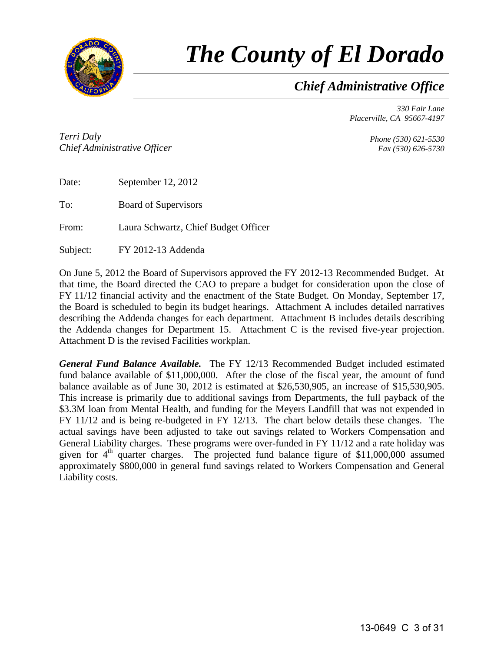

# *The County of El Dorado*

*Chief Administrative Office*

*330 Fair Lane Placerville, CA 95667-4197* 

*Terri Daly Chief Administrative Officer*

*Phone (530) 621-5530 Fax (530) 626-5730* 

| Date: | September 12, 2012          |
|-------|-----------------------------|
| To:   | <b>Board of Supervisors</b> |

From: Laura Schwartz, Chief Budget Officer

Subject: FY 2012-13 Addenda

On June 5, 2012 the Board of Supervisors approved the FY 2012-13 Recommended Budget. At that time, the Board directed the CAO to prepare a budget for consideration upon the close of FY 11/12 financial activity and the enactment of the State Budget. On Monday, September 17, the Board is scheduled to begin its budget hearings. Attachment A includes detailed narratives describing the Addenda changes for each department. Attachment B includes details describing the Addenda changes for Department 15. Attachment C is the revised five-year projection. Attachment D is the revised Facilities workplan.

*General Fund Balance Available.* The FY 12/13 Recommended Budget included estimated fund balance available of \$11,000,000. After the close of the fiscal year, the amount of fund balance available as of June 30, 2012 is estimated at \$26,530,905, an increase of \$15,530,905. This increase is primarily due to additional savings from Departments, the full payback of the \$3.3M loan from Mental Health, and funding for the Meyers Landfill that was not expended in FY 11/12 and is being re-budgeted in FY 12/13. The chart below details these changes. The actual savings have been adjusted to take out savings related to Workers Compensation and General Liability charges. These programs were over-funded in FY 11/12 and a rate holiday was given for  $4<sup>th</sup>$  quarter charges. The projected fund balance figure of \$11,000,000 assumed approximately \$800,000 in general fund savings related to Workers Compensation and General Liability costs.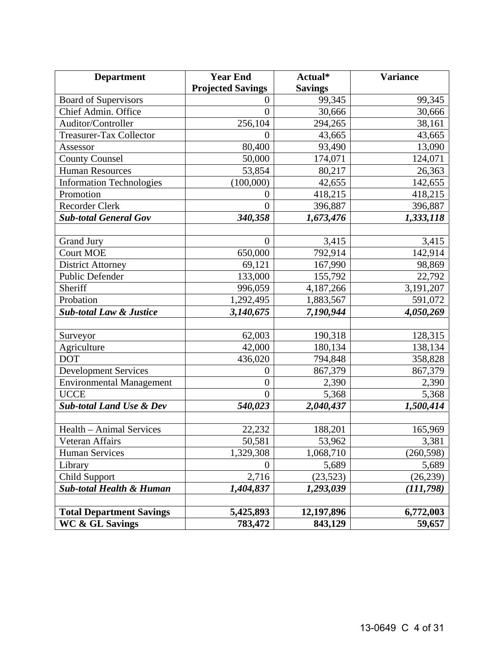| <b>Department</b>                   | <b>Year End</b>          | Actual*        | <b>Variance</b> |
|-------------------------------------|--------------------------|----------------|-----------------|
|                                     | <b>Projected Savings</b> | <b>Savings</b> |                 |
| <b>Board of Supervisors</b>         | $\overline{0}$           | 99,345         | 99,345          |
| Chief Admin. Office                 | $\overline{0}$           | 30,666         | 30,666          |
| Auditor/Controller                  | 256,104                  | 294,265        | 38,161          |
| <b>Treasurer-Tax Collector</b>      | $\Omega$                 | 43,665         | 43,665          |
| Assessor                            | 80,400                   | 93,490         | 13,090          |
| <b>County Counsel</b>               | 50,000                   | 174,071        | 124,071         |
| <b>Human Resources</b>              | 53,854                   | 80,217         | 26,363          |
| <b>Information Technologies</b>     | (100,000)                | 42,655         | 142,655         |
| Promotion                           | $\overline{0}$           | 418,215        | 418,215         |
| <b>Recorder Clerk</b>               | $\overline{0}$           | 396,887        | 396,887         |
| <b>Sub-total General Gov</b>        | 340,358                  | 1,673,476      | 1,333,118       |
|                                     |                          |                |                 |
| <b>Grand Jury</b>                   | $\theta$                 | 3,415          | 3,415           |
| <b>Court MOE</b>                    | 650,000                  | 792,914        | 142,914         |
| <b>District Attorney</b>            | 69,121                   | 167,990        | 98,869          |
| Public Defender                     | 133,000                  | 155,792        | 22,792          |
| Sheriff                             | 996,059                  | 4,187,266      | 3,191,207       |
| Probation                           | 1,292,495                | 1,883,567      | 591,072         |
| <b>Sub-total Law &amp; Justice</b>  | 3,140,675                | 7,190,944      | 4,050,269       |
|                                     |                          |                |                 |
| Surveyor                            | 62,003                   | 190,318        | 128,315         |
| Agriculture                         | 42,000                   | 180,134        | 138,134         |
| <b>DOT</b>                          | 436,020                  | 794,848        | 358,828         |
| <b>Development Services</b>         | $\boldsymbol{0}$         | 867,379        | 867,379         |
| <b>Environmental Management</b>     | $\overline{0}$           | 2,390          | 2,390           |
| <b>UCCE</b>                         | $\overline{0}$           | 5,368          | 5,368           |
| <b>Sub-total Land Use &amp; Dev</b> | 540,023                  | 2,040,437      | 1,500,414       |
|                                     |                          |                |                 |
| Health - Animal Services            | 22,232                   | 188,201        | 165,969         |
| Veteran Affairs                     | 50,581                   | 53,962         | 3,381           |
| <b>Human Services</b>               | 1,329,308                | 1,068,710      | (260, 598)      |
| Library                             | $\Omega$                 | 5,689          | 5,689           |
| <b>Child Support</b>                | 2,716                    | (23, 523)      | (26, 239)       |
| <b>Sub-total Health &amp; Human</b> | 1,404,837                | 1,293,039      | (111,798)       |
|                                     |                          |                |                 |
| <b>Total Department Savings</b>     | 5,425,893                | 12,197,896     | 6,772,003       |
| <b>WC &amp; GL Savings</b>          | 783,472                  | 843,129        | 59,657          |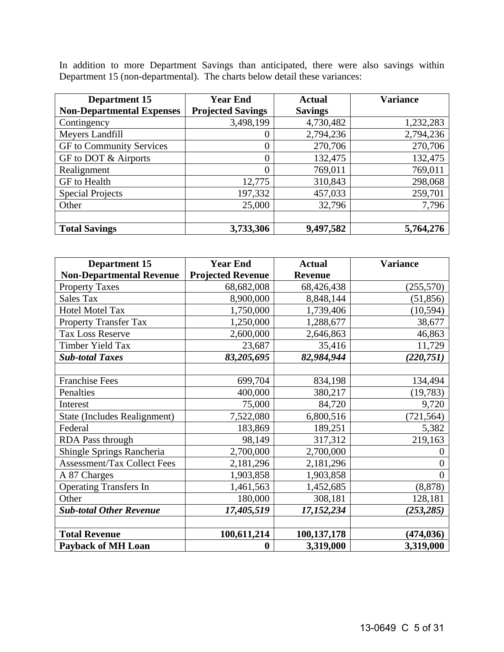In addition to more Department Savings than anticipated, there were also savings within Department 15 (non-departmental). The charts below detail these variances:

| <b>Department 15</b>             | <b>Year End</b>          | <b>Actual</b>  | <b>Variance</b> |
|----------------------------------|--------------------------|----------------|-----------------|
| <b>Non-Departmental Expenses</b> | <b>Projected Savings</b> | <b>Savings</b> |                 |
| Contingency                      | 3,498,199                | 4,730,482      | 1,232,283       |
| Meyers Landfill                  | $\theta$                 | 2,794,236      | 2,794,236       |
| GF to Community Services         | $\overline{0}$           | 270,706        | 270,706         |
| GF to DOT & Airports             | $\overline{0}$           | 132,475        | 132,475         |
| Realignment                      | $\overline{0}$           | 769,011        | 769,011         |
| GF to Health                     | 12,775                   | 310,843        | 298,068         |
| <b>Special Projects</b>          | 197,332                  | 457,033        | 259,701         |
| Other                            | 25,000                   | 32,796         | 7,796           |
|                                  |                          |                |                 |
| <b>Total Savings</b>             | 3,733,306                | 9,497,582      | 5,764,276       |

| <b>Department 15</b>               | <b>Year End</b>          | <b>Actual</b>  | <b>Variance</b> |
|------------------------------------|--------------------------|----------------|-----------------|
| <b>Non-Departmental Revenue</b>    | <b>Projected Revenue</b> | <b>Revenue</b> |                 |
| <b>Property Taxes</b>              | 68,682,008               | 68,426,438     | (255, 570)      |
| <b>Sales Tax</b>                   | 8,900,000                | 8,848,144      | (51, 856)       |
| <b>Hotel Motel Tax</b>             | 1,750,000                | 1,739,406      | (10, 594)       |
| <b>Property Transfer Tax</b>       | 1,250,000                | 1,288,677      | 38,677          |
| <b>Tax Loss Reserve</b>            | 2,600,000                | 2,646,863      | 46,863          |
| Timber Yield Tax                   | 23,687                   | 35,416         | 11,729          |
| <b>Sub-total Taxes</b>             | 83,205,695               | 82,984,944     | (220, 751)      |
|                                    |                          |                |                 |
| <b>Franchise Fees</b>              | 699,704                  | 834,198        | 134,494         |
| Penalties                          | 400,000                  | 380,217        | (19, 783)       |
| Interest                           | 75,000                   | 84,720         | 9,720           |
| State (Includes Realignment)       | 7,522,080                | 6,800,516      | (721, 564)      |
| Federal                            | 183,869                  | 189,251        | 5,382           |
| <b>RDA Pass through</b>            | 98,149                   | 317,312        | 219,163         |
| Shingle Springs Rancheria          | 2,700,000                | 2,700,000      |                 |
| <b>Assessment/Tax Collect Fees</b> | 2,181,296                | 2,181,296      | 0               |
| A 87 Charges                       | 1,903,858                | 1,903,858      |                 |
| <b>Operating Transfers In</b>      | 1,461,563                | 1,452,685      | (8, 878)        |
| Other                              | 180,000                  | 308,181        | 128,181         |
| <b>Sub-total Other Revenue</b>     | 17,405,519               | 17,152,234     | (253,285)       |
|                                    |                          |                |                 |
| <b>Total Revenue</b>               | 100,611,214              | 100,137,178    | (474, 036)      |
| <b>Payback of MH Loan</b>          | $\bf{0}$                 | 3,319,000      | 3,319,000       |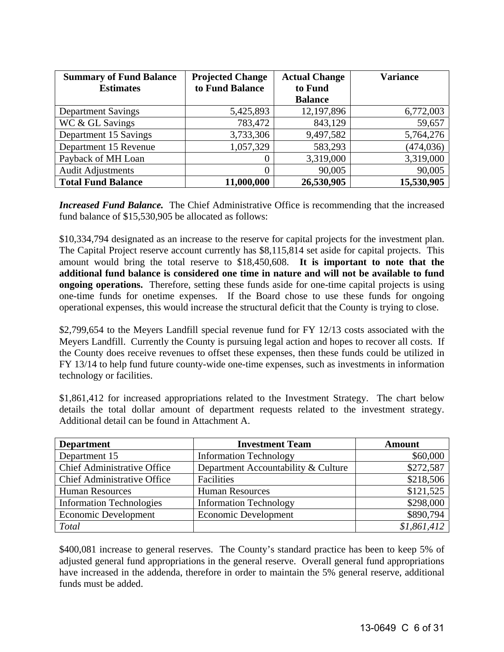| <b>Summary of Fund Balance</b> | <b>Projected Change</b> | <b>Actual Change</b> | <b>Variance</b> |
|--------------------------------|-------------------------|----------------------|-----------------|
| <b>Estimates</b>               | to Fund Balance         | to Fund              |                 |
|                                |                         | <b>Balance</b>       |                 |
| <b>Department Savings</b>      | 5,425,893               | 12,197,896           | 6,772,003       |
| WC & GL Savings                | 783,472                 | 843,129              | 59,657          |
| Department 15 Savings          | 3,733,306               | 9,497,582            | 5,764,276       |
| Department 15 Revenue          | 1,057,329               | 583,293              | (474, 036)      |
| Payback of MH Loan             | $\theta$                | 3,319,000            | 3,319,000       |
| <b>Audit Adjustments</b>       | 0                       | 90,005               | 90,005          |
| <b>Total Fund Balance</b>      | 11,000,000              | 26,530,905           | 15,530,905      |

**Increased Fund Balance.** The Chief Administrative Office is recommending that the increased fund balance of \$15,530,905 be allocated as follows:

\$10,334,794 designated as an increase to the reserve for capital projects for the investment plan. The Capital Project reserve account currently has \$8,115,814 set aside for capital projects. This amount would bring the total reserve to \$18,450,608. **It is important to note that the additional fund balance is considered one time in nature and will not be available to fund ongoing operations.** Therefore, setting these funds aside for one-time capital projects is using one-time funds for onetime expenses. If the Board chose to use these funds for ongoing operational expenses, this would increase the structural deficit that the County is trying to close.

\$2,799,654 to the Meyers Landfill special revenue fund for FY 12/13 costs associated with the Meyers Landfill. Currently the County is pursuing legal action and hopes to recover all costs. If the County does receive revenues to offset these expenses, then these funds could be utilized in FY 13/14 to help fund future county-wide one-time expenses, such as investments in information technology or facilities.

\$1,861,412 for increased appropriations related to the Investment Strategy. The chart below details the total dollar amount of department requests related to the investment strategy. Additional detail can be found in Attachment A.

| <b>Department</b>                  | <b>Investment Team</b>              | <b>Amount</b> |
|------------------------------------|-------------------------------------|---------------|
| Department 15                      | <b>Information Technology</b>       | \$60,000      |
| <b>Chief Administrative Office</b> | Department Accountability & Culture | \$272,587     |
| <b>Chief Administrative Office</b> | Facilities                          | \$218,506     |
| <b>Human Resources</b>             | <b>Human Resources</b>              | \$121,525     |
| <b>Information Technologies</b>    | <b>Information Technology</b>       | \$298,000     |
| <b>Economic Development</b>        | <b>Economic Development</b>         | \$890,794     |
| <b>Total</b>                       |                                     | \$1,861,412   |

\$400,081 increase to general reserves. The County's standard practice has been to keep 5% of adjusted general fund appropriations in the general reserve. Overall general fund appropriations have increased in the addenda, therefore in order to maintain the 5% general reserve, additional funds must be added.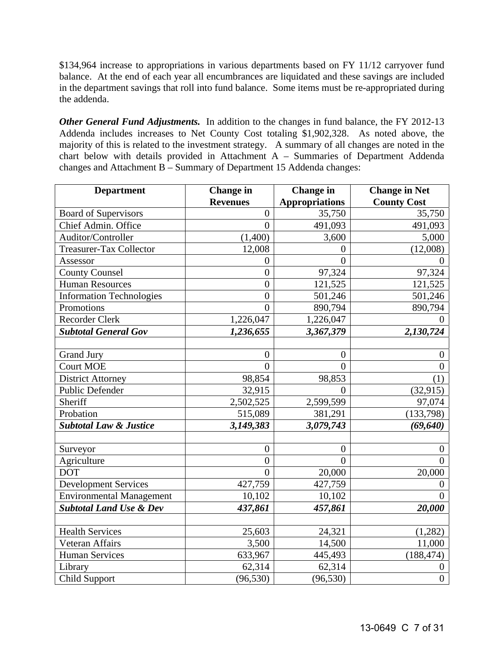\$134,964 increase to appropriations in various departments based on FY 11/12 carryover fund balance. At the end of each year all encumbrances are liquidated and these savings are included in the department savings that roll into fund balance. Some items must be re-appropriated during the addenda.

*Other General Fund Adjustments.* In addition to the changes in fund balance, the FY 2012-13 Addenda includes increases to Net County Cost totaling \$1,902,328. As noted above, the majority of this is related to the investment strategy. A summary of all changes are noted in the chart below with details provided in Attachment A – Summaries of Department Addenda changes and Attachment B – Summary of Department 15 Addenda changes:

| <b>Department</b>                  | <b>Change</b> in | <b>Change</b> in      | <b>Change in Net</b> |
|------------------------------------|------------------|-----------------------|----------------------|
|                                    | <b>Revenues</b>  | <b>Appropriations</b> | <b>County Cost</b>   |
| <b>Board of Supervisors</b>        | $\boldsymbol{0}$ | 35,750                | 35,750               |
| Chief Admin. Office                | $\overline{0}$   | 491,093               | 491,093              |
| Auditor/Controller                 | (1,400)          | 3,600                 | 5,000                |
| <b>Treasurer-Tax Collector</b>     | 12,008           | $\overline{0}$        | (12,008)             |
| Assessor                           | $\boldsymbol{0}$ | $\overline{0}$        | $\overline{0}$       |
| <b>County Counsel</b>              | $\overline{0}$   | 97,324                | 97,324               |
| <b>Human Resources</b>             | $\overline{0}$   | 121,525               | 121,525              |
| <b>Information Technologies</b>    | $\overline{0}$   | 501,246               | 501,246              |
| Promotions                         | $\overline{0}$   | 890,794               | 890,794              |
| <b>Recorder Clerk</b>              | 1,226,047        | 1,226,047             | $\theta$             |
| <b>Subtotal General Gov</b>        | 1,236,655        | 3,367,379             | 2,130,724            |
|                                    |                  |                       |                      |
| <b>Grand Jury</b>                  | $\overline{0}$   | $\overline{0}$        | $\theta$             |
| <b>Court MOE</b>                   | $\overline{0}$   | $\overline{0}$        | $\overline{0}$       |
| <b>District Attorney</b>           | 98,854           | 98,853                | (1)                  |
| Public Defender                    | 32,915           | $\Omega$              | (32, 915)            |
| Sheriff                            | 2,502,525        | 2,599,599             | 97,074               |
| Probation                          | 515,089          | 381,291               | (133, 798)           |
| <b>Subtotal Law &amp; Justice</b>  | 3,149,383        | 3,079,743             | (69, 640)            |
|                                    |                  |                       |                      |
| Surveyor                           | $\theta$         | $\theta$              | $\theta$             |
| Agriculture                        | $\overline{0}$   | $\overline{0}$        | $\theta$             |
| <b>DOT</b>                         | $\theta$         | 20,000                | 20,000               |
| <b>Development Services</b>        | 427,759          | 427,759               | $\overline{0}$       |
| <b>Environmental Management</b>    | 10,102           | 10,102                | $\theta$             |
| <b>Subtotal Land Use &amp; Dev</b> | 437,861          | 457,861               | 20,000               |
|                                    |                  |                       |                      |
| <b>Health Services</b>             | 25,603           | 24,321                | (1, 282)             |
| Veteran Affairs                    | 3,500            | 14,500                | 11,000               |
| <b>Human Services</b>              | 633,967          | 445,493               | (188, 474)           |
| Library                            | 62,314           | 62,314                | $\theta$             |
| <b>Child Support</b>               | (96, 530)        | (96, 530)             | $\overline{0}$       |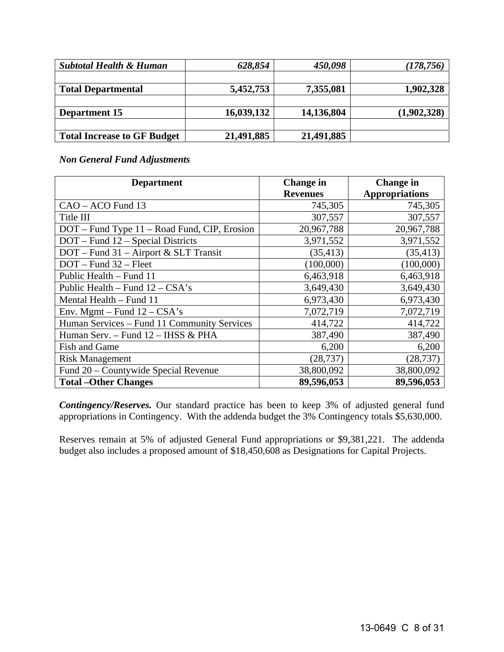| <b>Subtotal Health &amp; Human</b> | 628,854    | 450,098    | (178, 756)  |
|------------------------------------|------------|------------|-------------|
|                                    |            |            |             |
| <b>Total Departmental</b>          | 5,452,753  | 7,355,081  | 1,902,328   |
|                                    |            |            |             |
| <b>Department 15</b>               | 16,039,132 | 14,136,804 | (1,902,328) |
|                                    |            |            |             |
| <b>Total Increase to GF Budget</b> | 21,491,885 | 21,491,885 |             |

#### *Non General Fund Adjustments*

| <b>Department</b>                            | <b>Change in</b> | <b>Change in</b>      |  |
|----------------------------------------------|------------------|-----------------------|--|
|                                              | <b>Revenues</b>  | <b>Appropriations</b> |  |
| CAO - ACO Fund 13                            | 745,305          | 745,305               |  |
| Title III                                    | 307,557          | 307,557               |  |
| DOT – Fund Type 11 – Road Fund, CIP, Erosion | 20,967,788       | 20,967,788            |  |
| DOT – Fund 12 – Special Districts            | 3,971,552        | 3,971,552             |  |
| DOT - Fund 31 - Airport & SLT Transit        | (35, 413)        | (35, 413)             |  |
| DOT - Fund 32 - Fleet                        | (100,000)        | (100,000)             |  |
| Public Health - Fund 11                      | 6,463,918        | 6,463,918             |  |
| Public Health – Fund $12 - CSA's$            | 3,649,430        | 3,649,430             |  |
| Mental Health - Fund 11                      | 6,973,430        | 6,973,430             |  |
| Env. Mgmt - Fund $12 - CSA's$                | 7,072,719        | 7,072,719             |  |
| Human Services - Fund 11 Community Services  | 414,722          | 414,722               |  |
| Human Serv. - Fund 12 - IHSS & PHA           | 387,490          | 387,490               |  |
| <b>Fish and Game</b>                         | 6,200            | 6,200                 |  |
| <b>Risk Management</b>                       | (28, 737)        | (28, 737)             |  |
| Fund 20 – Countywide Special Revenue         | 38,800,092       | 38,800,092            |  |
| <b>Total – Other Changes</b>                 | 89,596,053       | 89,596,053            |  |

*Contingency/Reserves.* Our standard practice has been to keep 3% of adjusted general fund appropriations in Contingency. With the addenda budget the 3% Contingency totals \$5,630,000.

Reserves remain at 5% of adjusted General Fund appropriations or \$9,381,221. The addenda budget also includes a proposed amount of \$18,450,608 as Designations for Capital Projects.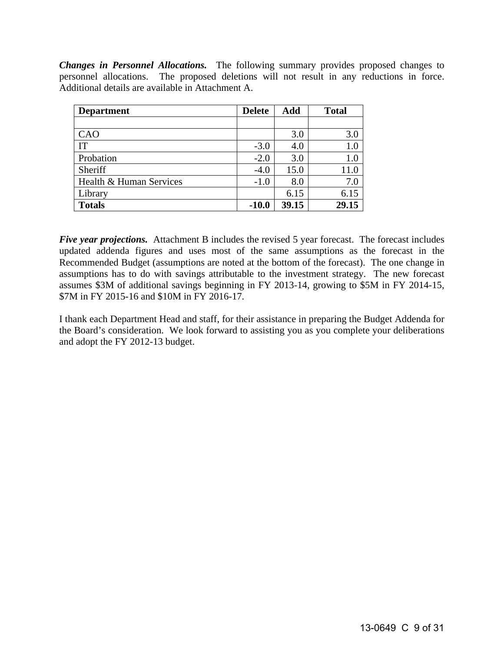*Changes in Personnel Allocations.* The following summary provides proposed changes to personnel allocations. The proposed deletions will not result in any reductions in force. Additional details are available in Attachment A.

| <b>Department</b>       | <b>Delete</b> | Add   | <b>Total</b> |
|-------------------------|---------------|-------|--------------|
|                         |               |       |              |
| CAO                     |               | 3.0   | 3.0          |
| IT                      | $-3.0$        | 4.0   | 1.0          |
| Probation               | $-2.0$        | 3.0   | 1.0          |
| Sheriff                 | $-4.0$        | 15.0  | 11.0         |
| Health & Human Services | $-1.0$        | 8.0   | 7.0          |
| Library                 |               | 6.15  | 6.15         |
| <b>Totals</b>           | $-10.0$       | 39.15 | 29.15        |

*Five year projections.* Attachment B includes the revised 5 year forecast. The forecast includes updated addenda figures and uses most of the same assumptions as the forecast in the Recommended Budget (assumptions are noted at the bottom of the forecast). The one change in assumptions has to do with savings attributable to the investment strategy. The new forecast assumes \$3M of additional savings beginning in FY 2013-14, growing to \$5M in FY 2014-15, \$7M in FY 2015-16 and \$10M in FY 2016-17.

I thank each Department Head and staff, for their assistance in preparing the Budget Addenda for the Board's consideration. We look forward to assisting you as you complete your deliberations and adopt the FY 2012-13 budget.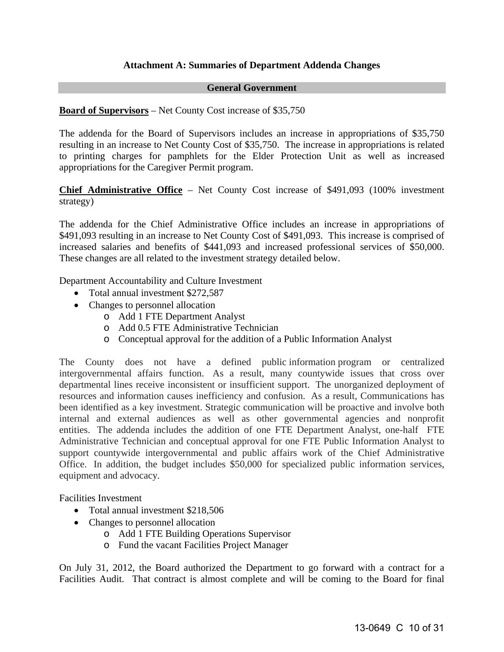#### **Attachment A: Summaries of Department Addenda Changes**

#### **General Government**

#### **Board of Supervisors** – Net County Cost increase of \$35,750

The addenda for the Board of Supervisors includes an increase in appropriations of \$35,750 resulting in an increase to Net County Cost of \$35,750. The increase in appropriations is related to printing charges for pamphlets for the Elder Protection Unit as well as increased appropriations for the Caregiver Permit program.

**Chief Administrative Office** – Net County Cost increase of \$491,093 (100% investment strategy)

The addenda for the Chief Administrative Office includes an increase in appropriations of \$491,093 resulting in an increase to Net County Cost of \$491,093. This increase is comprised of increased salaries and benefits of \$441,093 and increased professional services of \$50,000. These changes are all related to the investment strategy detailed below.

Department Accountability and Culture Investment

- Total annual investment \$272,587
- Changes to personnel allocation
	- o Add 1 FTE Department Analyst
	- o Add 0.5 FTE Administrative Technician
	- o Conceptual approval for the addition of a Public Information Analyst

The County does not have a defined public information program or centralized intergovernmental affairs function. As a result, many countywide issues that cross over departmental lines receive inconsistent or insufficient support. The unorganized deployment of resources and information causes inefficiency and confusion. As a result, Communications has been identified as a key investment. Strategic communication will be proactive and involve both internal and external audiences as well as other governmental agencies and nonprofit entities. The addenda includes the addition of one FTE Department Analyst, one-half FTE Administrative Technician and conceptual approval for one FTE Public Information Analyst to support countywide intergovernmental and public affairs work of the Chief Administrative Office. In addition, the budget includes \$50,000 for specialized public information services, equipment and advocacy.

Facilities Investment

- Total annual investment \$218,506
- Changes to personnel allocation
	- o Add 1 FTE Building Operations Supervisor
	- o Fund the vacant Facilities Project Manager

On July 31, 2012, the Board authorized the Department to go forward with a contract for a Facilities Audit. That contract is almost complete and will be coming to the Board for final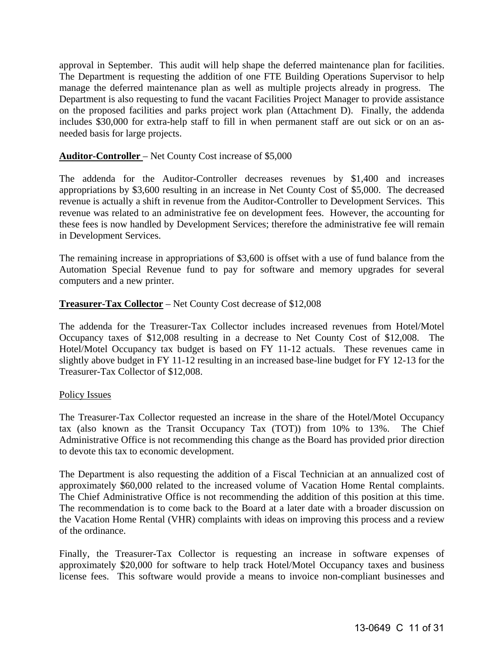approval in September. This audit will help shape the deferred maintenance plan for facilities. The Department is requesting the addition of one FTE Building Operations Supervisor to help manage the deferred maintenance plan as well as multiple projects already in progress. The Department is also requesting to fund the vacant Facilities Project Manager to provide assistance on the proposed facilities and parks project work plan (Attachment D). Finally, the addenda includes \$30,000 for extra-help staff to fill in when permanent staff are out sick or on an asneeded basis for large projects.

#### **Auditor-Controller** – Net County Cost increase of \$5,000

The addenda for the Auditor-Controller decreases revenues by \$1,400 and increases appropriations by \$3,600 resulting in an increase in Net County Cost of \$5,000. The decreased revenue is actually a shift in revenue from the Auditor-Controller to Development Services. This revenue was related to an administrative fee on development fees. However, the accounting for these fees is now handled by Development Services; therefore the administrative fee will remain in Development Services.

The remaining increase in appropriations of \$3,600 is offset with a use of fund balance from the Automation Special Revenue fund to pay for software and memory upgrades for several computers and a new printer.

#### **Treasurer-Tax Collector** – Net County Cost decrease of \$12,008

The addenda for the Treasurer-Tax Collector includes increased revenues from Hotel/Motel Occupancy taxes of \$12,008 resulting in a decrease to Net County Cost of \$12,008. The Hotel/Motel Occupancy tax budget is based on FY 11-12 actuals. These revenues came in slightly above budget in FY 11-12 resulting in an increased base-line budget for FY 12-13 for the Treasurer-Tax Collector of \$12,008.

#### Policy Issues

The Treasurer-Tax Collector requested an increase in the share of the Hotel/Motel Occupancy tax (also known as the Transit Occupancy Tax (TOT)) from 10% to 13%. The Chief Administrative Office is not recommending this change as the Board has provided prior direction to devote this tax to economic development.

The Department is also requesting the addition of a Fiscal Technician at an annualized cost of approximately \$60,000 related to the increased volume of Vacation Home Rental complaints. The Chief Administrative Office is not recommending the addition of this position at this time. The recommendation is to come back to the Board at a later date with a broader discussion on the Vacation Home Rental (VHR) complaints with ideas on improving this process and a review of the ordinance.

Finally, the Treasurer-Tax Collector is requesting an increase in software expenses of approximately \$20,000 for software to help track Hotel/Motel Occupancy taxes and business license fees. This software would provide a means to invoice non-compliant businesses and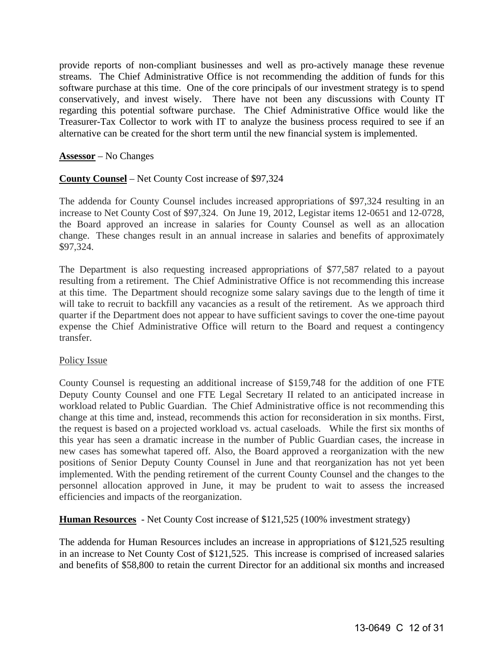provide reports of non-compliant businesses and well as pro-actively manage these revenue streams. The Chief Administrative Office is not recommending the addition of funds for this software purchase at this time. One of the core principals of our investment strategy is to spend conservatively, and invest wisely. There have not been any discussions with County IT regarding this potential software purchase. The Chief Administrative Office would like the Treasurer-Tax Collector to work with IT to analyze the business process required to see if an alternative can be created for the short term until the new financial system is implemented.

**Assessor** – No Changes

#### **County Counsel** – Net County Cost increase of \$97,324

The addenda for County Counsel includes increased appropriations of \$97,324 resulting in an increase to Net County Cost of \$97,324. On June 19, 2012, Legistar items 12-0651 and 12-0728, the Board approved an increase in salaries for County Counsel as well as an allocation change. These changes result in an annual increase in salaries and benefits of approximately \$97,324.

The Department is also requesting increased appropriations of \$77,587 related to a payout resulting from a retirement. The Chief Administrative Office is not recommending this increase at this time. The Department should recognize some salary savings due to the length of time it will take to recruit to backfill any vacancies as a result of the retirement. As we approach third quarter if the Department does not appear to have sufficient savings to cover the one-time payout expense the Chief Administrative Office will return to the Board and request a contingency transfer.

#### Policy Issue

County Counsel is requesting an additional increase of \$159,748 for the addition of one FTE Deputy County Counsel and one FTE Legal Secretary II related to an anticipated increase in workload related to Public Guardian. The Chief Administrative office is not recommending this change at this time and, instead, recommends this action for reconsideration in six months. First, the request is based on a projected workload vs. actual caseloads. While the first six months of this year has seen a dramatic increase in the number of Public Guardian cases, the increase in new cases has somewhat tapered off. Also, the Board approved a reorganization with the new positions of Senior Deputy County Counsel in June and that reorganization has not yet been implemented. With the pending retirement of the current County Counsel and the changes to the personnel allocation approved in June, it may be prudent to wait to assess the increased efficiencies and impacts of the reorganization.

**Human Resources** - Net County Cost increase of \$121,525 (100% investment strategy)

The addenda for Human Resources includes an increase in appropriations of \$121,525 resulting in an increase to Net County Cost of \$121,525. This increase is comprised of increased salaries and benefits of \$58,800 to retain the current Director for an additional six months and increased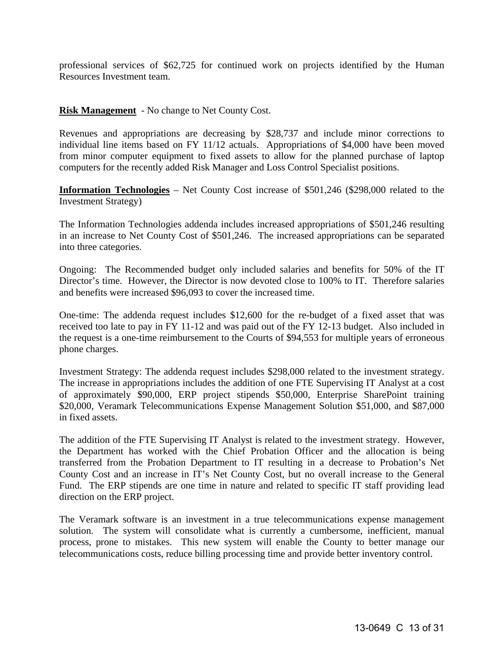professional services of \$62,725 for continued work on projects identified by the Human Resources Investment team.

**Risk Management** - No change to Net County Cost.

Revenues and appropriations are decreasing by \$28,737 and include minor corrections to individual line items based on FY 11/12 actuals. Appropriations of \$4,000 have been moved from minor computer equipment to fixed assets to allow for the planned purchase of laptop computers for the recently added Risk Manager and Loss Control Specialist positions.

**Information Technologies** – Net County Cost increase of \$501,246 (\$298,000 related to the Investment Strategy)

The Information Technologies addenda includes increased appropriations of \$501,246 resulting in an increase to Net County Cost of \$501,246. The increased appropriations can be separated into three categories.

Ongoing: The Recommended budget only included salaries and benefits for 50% of the IT Director's time. However, the Director is now devoted close to 100% to IT. Therefore salaries and benefits were increased \$96,093 to cover the increased time.

One-time: The addenda request includes \$12,600 for the re-budget of a fixed asset that was received too late to pay in FY 11-12 and was paid out of the FY 12-13 budget. Also included in the request is a one-time reimbursement to the Courts of \$94,553 for multiple years of erroneous phone charges.

Investment Strategy: The addenda request includes \$298,000 related to the investment strategy. The increase in appropriations includes the addition of one FTE Supervising IT Analyst at a cost of approximately \$90,000, ERP project stipends \$50,000, Enterprise SharePoint training \$20,000, Veramark Telecommunications Expense Management Solution \$51,000, and \$87,000 in fixed assets.

The addition of the FTE Supervising IT Analyst is related to the investment strategy. However, the Department has worked with the Chief Probation Officer and the allocation is being transferred from the Probation Department to IT resulting in a decrease to Probation's Net County Cost and an increase in IT's Net County Cost, but no overall increase to the General Fund. The ERP stipends are one time in nature and related to specific IT staff providing lead direction on the ERP project.

The Veramark software is an investment in a true telecommunications expense management solution. The system will consolidate what is currently a cumbersome, inefficient, manual process, prone to mistakes. This new system will enable the County to better manage our telecommunications costs, reduce billing processing time and provide better inventory control.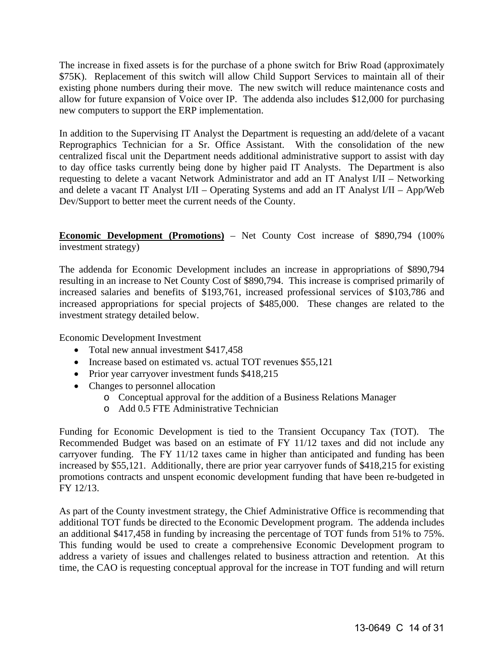The increase in fixed assets is for the purchase of a phone switch for Briw Road (approximately \$75K). Replacement of this switch will allow Child Support Services to maintain all of their existing phone numbers during their move. The new switch will reduce maintenance costs and allow for future expansion of Voice over IP. The addenda also includes \$12,000 for purchasing new computers to support the ERP implementation.

In addition to the Supervising IT Analyst the Department is requesting an add/delete of a vacant Reprographics Technician for a Sr. Office Assistant. With the consolidation of the new centralized fiscal unit the Department needs additional administrative support to assist with day to day office tasks currently being done by higher paid IT Analysts. The Department is also requesting to delete a vacant Network Administrator and add an IT Analyst I/II – Networking and delete a vacant IT Analyst I/II – Operating Systems and add an IT Analyst I/II – App/Web Dev/Support to better meet the current needs of the County.

**Economic Development (Promotions)** – Net County Cost increase of \$890,794 (100% investment strategy)

The addenda for Economic Development includes an increase in appropriations of \$890,794 resulting in an increase to Net County Cost of \$890,794. This increase is comprised primarily of increased salaries and benefits of \$193,761, increased professional services of \$103,786 and increased appropriations for special projects of \$485,000. These changes are related to the investment strategy detailed below.

Economic Development Investment

- Total new annual investment \$417,458
- Increase based on estimated vs. actual TOT revenues \$55,121
- Prior year carryover investment funds \$418,215
- Changes to personnel allocation
	- o Conceptual approval for the addition of a Business Relations Manager
	- o Add 0.5 FTE Administrative Technician

Funding for Economic Development is tied to the Transient Occupancy Tax (TOT). The Recommended Budget was based on an estimate of FY 11/12 taxes and did not include any carryover funding. The FY 11/12 taxes came in higher than anticipated and funding has been increased by \$55,121. Additionally, there are prior year carryover funds of \$418,215 for existing promotions contracts and unspent economic development funding that have been re-budgeted in FY 12/13.

As part of the County investment strategy, the Chief Administrative Office is recommending that additional TOT funds be directed to the Economic Development program. The addenda includes an additional \$417,458 in funding by increasing the percentage of TOT funds from 51% to 75%. This funding would be used to create a comprehensive Economic Development program to address a variety of issues and challenges related to business attraction and retention. At this time, the CAO is requesting conceptual approval for the increase in TOT funding and will return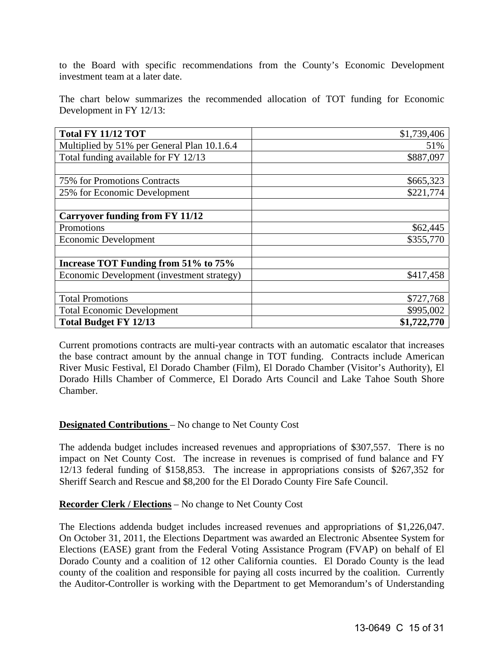to the Board with specific recommendations from the County's Economic Development investment team at a later date.

The chart below summarizes the recommended allocation of TOT funding for Economic Development in FY 12/13:

| <b>Total FY 11/12 TOT</b>                   | \$1,739,406 |
|---------------------------------------------|-------------|
| Multiplied by 51% per General Plan 10.1.6.4 | 51%         |
| Total funding available for FY 12/13        | \$887,097   |
|                                             |             |
| 75% for Promotions Contracts                | \$665,323   |
| 25% for Economic Development                | \$221,774   |
|                                             |             |
| <b>Carryover funding from FY 11/12</b>      |             |
| Promotions                                  | \$62,445    |
| <b>Economic Development</b>                 | \$355,770   |
|                                             |             |
| Increase TOT Funding from 51% to 75%        |             |
| Economic Development (investment strategy)  | \$417,458   |
|                                             |             |
| <b>Total Promotions</b>                     | \$727,768   |
| <b>Total Economic Development</b>           | \$995,002   |
| <b>Total Budget FY 12/13</b>                | \$1,722,770 |

Current promotions contracts are multi-year contracts with an automatic escalator that increases the base contract amount by the annual change in TOT funding. Contracts include American River Music Festival, El Dorado Chamber (Film), El Dorado Chamber (Visitor's Authority), El Dorado Hills Chamber of Commerce, El Dorado Arts Council and Lake Tahoe South Shore Chamber.

#### **Designated Contributions** – No change to Net County Cost

The addenda budget includes increased revenues and appropriations of \$307,557. There is no impact on Net County Cost. The increase in revenues is comprised of fund balance and FY 12/13 federal funding of \$158,853. The increase in appropriations consists of \$267,352 for Sheriff Search and Rescue and \$8,200 for the El Dorado County Fire Safe Council.

**Recorder Clerk / Elections** – No change to Net County Cost

The Elections addenda budget includes increased revenues and appropriations of \$1,226,047. On October 31, 2011, the Elections Department was awarded an Electronic Absentee System for Elections (EASE) grant from the Federal Voting Assistance Program (FVAP) on behalf of El Dorado County and a coalition of 12 other California counties. El Dorado County is the lead county of the coalition and responsible for paying all costs incurred by the coalition. Currently the Auditor-Controller is working with the Department to get Memorandum's of Understanding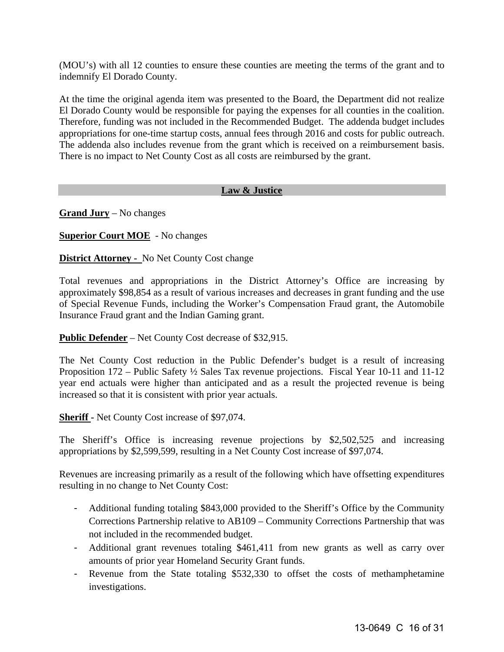(MOU's) with all 12 counties to ensure these counties are meeting the terms of the grant and to indemnify El Dorado County.

At the time the original agenda item was presented to the Board, the Department did not realize El Dorado County would be responsible for paying the expenses for all counties in the coalition. Therefore, funding was not included in the Recommended Budget. The addenda budget includes appropriations for one-time startup costs, annual fees through 2016 and costs for public outreach. The addenda also includes revenue from the grant which is received on a reimbursement basis. There is no impact to Net County Cost as all costs are reimbursed by the grant.

#### **Law & Justice**

**Grand Jury** – No changes

**Superior Court MOE** - No changes

**District Attorney -** No Net County Cost change

Total revenues and appropriations in the District Attorney's Office are increasing by approximately \$98,854 as a result of various increases and decreases in grant funding and the use of Special Revenue Funds, including the Worker's Compensation Fraud grant, the Automobile Insurance Fraud grant and the Indian Gaming grant.

**Public Defender** – Net County Cost decrease of \$32,915.

The Net County Cost reduction in the Public Defender's budget is a result of increasing Proposition 172 – Public Safety ½ Sales Tax revenue projections. Fiscal Year 10-11 and 11-12 year end actuals were higher than anticipated and as a result the projected revenue is being increased so that it is consistent with prior year actuals.

**Sheriff -** Net County Cost increase of \$97,074.

The Sheriff's Office is increasing revenue projections by \$2,502,525 and increasing appropriations by \$2,599,599, resulting in a Net County Cost increase of \$97,074.

Revenues are increasing primarily as a result of the following which have offsetting expenditures resulting in no change to Net County Cost:

- Additional funding totaling \$843,000 provided to the Sheriff's Office by the Community Corrections Partnership relative to AB109 – Community Corrections Partnership that was not included in the recommended budget.
- Additional grant revenues totaling \$461,411 from new grants as well as carry over amounts of prior year Homeland Security Grant funds.
- Revenue from the State totaling \$532,330 to offset the costs of methamphetamine investigations.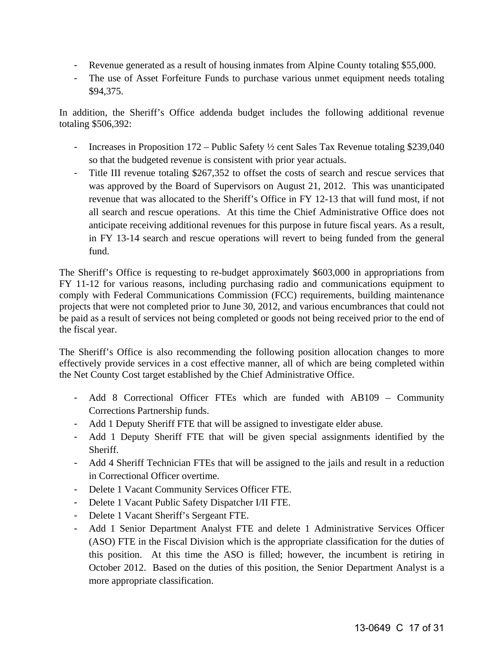- Revenue generated as a result of housing inmates from Alpine County totaling \$55,000.
- The use of Asset Forfeiture Funds to purchase various unmet equipment needs totaling \$94,375.

In addition, the Sheriff's Office addenda budget includes the following additional revenue totaling \$506,392:

- Increases in Proposition 172 Public Safety ½ cent Sales Tax Revenue totaling \$239,040 so that the budgeted revenue is consistent with prior year actuals.
- Title III revenue totaling \$267,352 to offset the costs of search and rescue services that was approved by the Board of Supervisors on August 21, 2012. This was unanticipated revenue that was allocated to the Sheriff's Office in FY 12-13 that will fund most, if not all search and rescue operations. At this time the Chief Administrative Office does not anticipate receiving additional revenues for this purpose in future fiscal years. As a result, in FY 13-14 search and rescue operations will revert to being funded from the general fund.

The Sheriff's Office is requesting to re-budget approximately \$603,000 in appropriations from FY 11-12 for various reasons, including purchasing radio and communications equipment to comply with Federal Communications Commission (FCC) requirements, building maintenance projects that were not completed prior to June 30, 2012, and various encumbrances that could not be paid as a result of services not being completed or goods not being received prior to the end of the fiscal year.

The Sheriff's Office is also recommending the following position allocation changes to more effectively provide services in a cost effective manner, all of which are being completed within the Net County Cost target established by the Chief Administrative Office.

- Add 8 Correctional Officer FTEs which are funded with AB109 Community Corrections Partnership funds.
- Add 1 Deputy Sheriff FTE that will be assigned to investigate elder abuse.
- Add 1 Deputy Sheriff FTE that will be given special assignments identified by the Sheriff.
- Add 4 Sheriff Technician FTEs that will be assigned to the jails and result in a reduction in Correctional Officer overtime.
- Delete 1 Vacant Community Services Officer FTE.
- Delete 1 Vacant Public Safety Dispatcher I/II FTE.
- Delete 1 Vacant Sheriff's Sergeant FTE.
- Add 1 Senior Department Analyst FTE and delete 1 Administrative Services Officer (ASO) FTE in the Fiscal Division which is the appropriate classification for the duties of this position. At this time the ASO is filled; however, the incumbent is retiring in October 2012. Based on the duties of this position, the Senior Department Analyst is a more appropriate classification.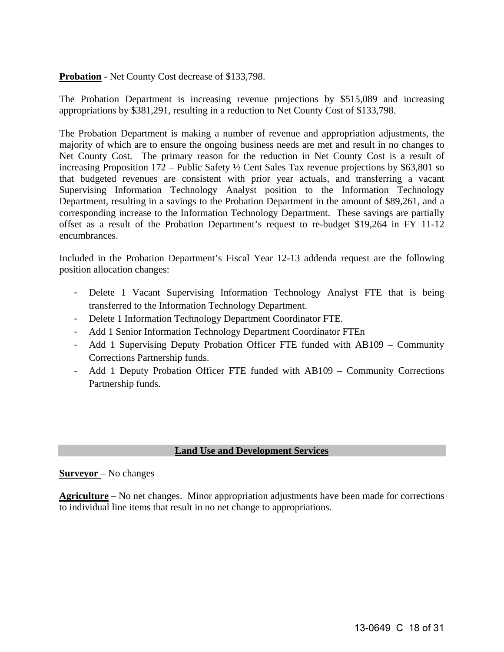#### **Probation** - Net County Cost decrease of \$133,798.

The Probation Department is increasing revenue projections by \$515,089 and increasing appropriations by \$381,291, resulting in a reduction to Net County Cost of \$133,798.

The Probation Department is making a number of revenue and appropriation adjustments, the majority of which are to ensure the ongoing business needs are met and result in no changes to Net County Cost. The primary reason for the reduction in Net County Cost is a result of increasing Proposition 172 – Public Safety ½ Cent Sales Tax revenue projections by \$63,801 so that budgeted revenues are consistent with prior year actuals, and transferring a vacant Supervising Information Technology Analyst position to the Information Technology Department, resulting in a savings to the Probation Department in the amount of \$89,261, and a corresponding increase to the Information Technology Department. These savings are partially offset as a result of the Probation Department's request to re-budget \$19,264 in FY 11-12 encumbrances.

Included in the Probation Department's Fiscal Year 12-13 addenda request are the following position allocation changes:

- Delete 1 Vacant Supervising Information Technology Analyst FTE that is being transferred to the Information Technology Department.
- Delete 1 Information Technology Department Coordinator FTE.
- Add 1 Senior Information Technology Department Coordinator FTEn
- Add 1 Supervising Deputy Probation Officer FTE funded with AB109 Community Corrections Partnership funds.
- Add 1 Deputy Probation Officer FTE funded with AB109 Community Corrections Partnership funds.

### **Land Use and Development Services**

#### **Surveyor** – No changes

**Agriculture** – No net changes. Minor appropriation adjustments have been made for corrections to individual line items that result in no net change to appropriations.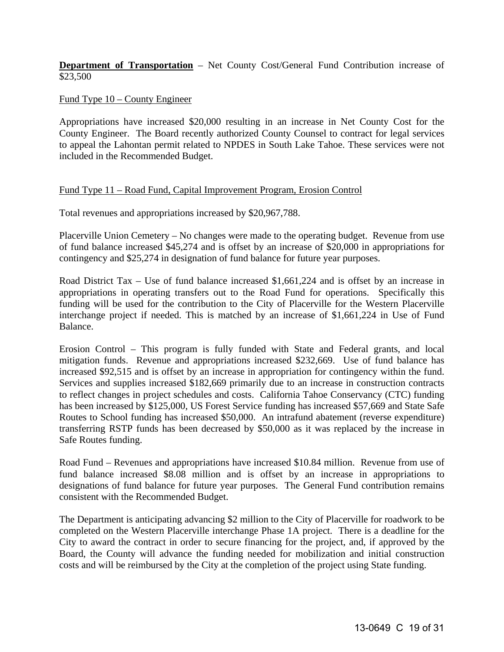**Department of Transportation** – Net County Cost/General Fund Contribution increase of \$23,500

Fund Type 10 – County Engineer

Appropriations have increased \$20,000 resulting in an increase in Net County Cost for the County Engineer. The Board recently authorized County Counsel to contract for legal services to appeal the Lahontan permit related to NPDES in South Lake Tahoe. These services were not included in the Recommended Budget.

#### Fund Type 11 – Road Fund, Capital Improvement Program, Erosion Control

Total revenues and appropriations increased by \$20,967,788.

Placerville Union Cemetery – No changes were made to the operating budget. Revenue from use of fund balance increased \$45,274 and is offset by an increase of \$20,000 in appropriations for contingency and \$25,274 in designation of fund balance for future year purposes.

Road District Tax – Use of fund balance increased \$1,661,224 and is offset by an increase in appropriations in operating transfers out to the Road Fund for operations. Specifically this funding will be used for the contribution to the City of Placerville for the Western Placerville interchange project if needed. This is matched by an increase of \$1,661,224 in Use of Fund Balance.

Erosion Control – This program is fully funded with State and Federal grants, and local mitigation funds. Revenue and appropriations increased \$232,669. Use of fund balance has increased \$92,515 and is offset by an increase in appropriation for contingency within the fund. Services and supplies increased \$182,669 primarily due to an increase in construction contracts to reflect changes in project schedules and costs. California Tahoe Conservancy (CTC) funding has been increased by \$125,000, US Forest Service funding has increased \$57,669 and State Safe Routes to School funding has increased \$50,000. An intrafund abatement (reverse expenditure) transferring RSTP funds has been decreased by \$50,000 as it was replaced by the increase in Safe Routes funding.

Road Fund – Revenues and appropriations have increased \$10.84 million. Revenue from use of fund balance increased \$8.08 million and is offset by an increase in appropriations to designations of fund balance for future year purposes. The General Fund contribution remains consistent with the Recommended Budget.

The Department is anticipating advancing \$2 million to the City of Placerville for roadwork to be completed on the Western Placerville interchange Phase 1A project. There is a deadline for the City to award the contract in order to secure financing for the project, and, if approved by the Board, the County will advance the funding needed for mobilization and initial construction costs and will be reimbursed by the City at the completion of the project using State funding.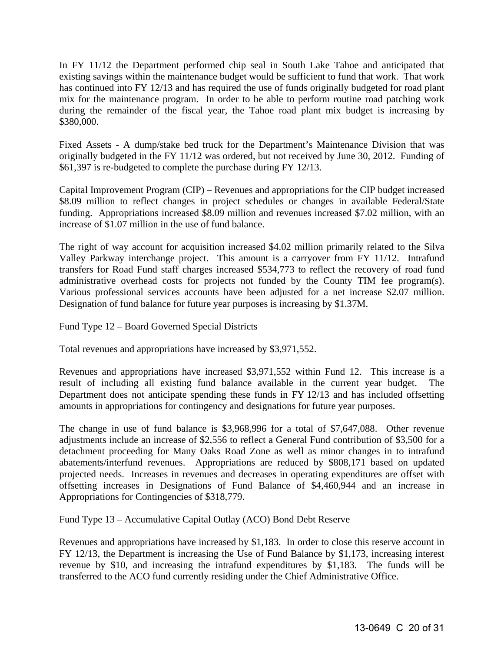In FY 11/12 the Department performed chip seal in South Lake Tahoe and anticipated that existing savings within the maintenance budget would be sufficient to fund that work. That work has continued into FY 12/13 and has required the use of funds originally budgeted for road plant mix for the maintenance program. In order to be able to perform routine road patching work during the remainder of the fiscal year, the Tahoe road plant mix budget is increasing by \$380,000.

Fixed Assets - A dump/stake bed truck for the Department's Maintenance Division that was originally budgeted in the FY 11/12 was ordered, but not received by June 30, 2012. Funding of \$61,397 is re-budgeted to complete the purchase during FY 12/13.

Capital Improvement Program (CIP) – Revenues and appropriations for the CIP budget increased \$8.09 million to reflect changes in project schedules or changes in available Federal/State funding. Appropriations increased \$8.09 million and revenues increased \$7.02 million, with an increase of \$1.07 million in the use of fund balance.

The right of way account for acquisition increased \$4.02 million primarily related to the Silva Valley Parkway interchange project. This amount is a carryover from FY 11/12. Intrafund transfers for Road Fund staff charges increased \$534,773 to reflect the recovery of road fund administrative overhead costs for projects not funded by the County TIM fee program(s). Various professional services accounts have been adjusted for a net increase \$2.07 million. Designation of fund balance for future year purposes is increasing by \$1.37M.

#### Fund Type 12 – Board Governed Special Districts

Total revenues and appropriations have increased by \$3,971,552.

Revenues and appropriations have increased \$3,971,552 within Fund 12. This increase is a result of including all existing fund balance available in the current year budget. The Department does not anticipate spending these funds in FY 12/13 and has included offsetting amounts in appropriations for contingency and designations for future year purposes.

The change in use of fund balance is \$3,968,996 for a total of \$7,647,088. Other revenue adjustments include an increase of \$2,556 to reflect a General Fund contribution of \$3,500 for a detachment proceeding for Many Oaks Road Zone as well as minor changes in to intrafund abatements/interfund revenues. Appropriations are reduced by \$808,171 based on updated projected needs. Increases in revenues and decreases in operating expenditures are offset with offsetting increases in Designations of Fund Balance of \$4,460,944 and an increase in Appropriations for Contingencies of \$318,779.

#### Fund Type 13 – Accumulative Capital Outlay (ACO) Bond Debt Reserve

Revenues and appropriations have increased by \$1,183. In order to close this reserve account in FY 12/13, the Department is increasing the Use of Fund Balance by \$1,173, increasing interest revenue by \$10, and increasing the intrafund expenditures by \$1,183. The funds will be transferred to the ACO fund currently residing under the Chief Administrative Office.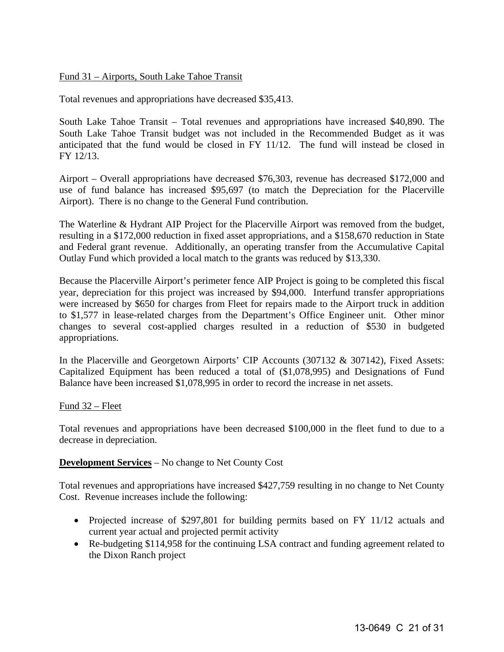#### Fund 31 – Airports, South Lake Tahoe Transit

Total revenues and appropriations have decreased \$35,413.

South Lake Tahoe Transit – Total revenues and appropriations have increased \$40,890. The South Lake Tahoe Transit budget was not included in the Recommended Budget as it was anticipated that the fund would be closed in FY 11/12. The fund will instead be closed in FY 12/13.

Airport – Overall appropriations have decreased \$76,303, revenue has decreased \$172,000 and use of fund balance has increased \$95,697 (to match the Depreciation for the Placerville Airport). There is no change to the General Fund contribution.

The Waterline & Hydrant AIP Project for the Placerville Airport was removed from the budget, resulting in a \$172,000 reduction in fixed asset appropriations, and a \$158,670 reduction in State and Federal grant revenue. Additionally, an operating transfer from the Accumulative Capital Outlay Fund which provided a local match to the grants was reduced by \$13,330.

Because the Placerville Airport's perimeter fence AIP Project is going to be completed this fiscal year, depreciation for this project was increased by \$94,000. Interfund transfer appropriations were increased by \$650 for charges from Fleet for repairs made to the Airport truck in addition to \$1,577 in lease-related charges from the Department's Office Engineer unit. Other minor changes to several cost-applied charges resulted in a reduction of \$530 in budgeted appropriations.

In the Placerville and Georgetown Airports' CIP Accounts (307132 & 307142), Fixed Assets: Capitalized Equipment has been reduced a total of (\$1,078,995) and Designations of Fund Balance have been increased \$1,078,995 in order to record the increase in net assets.

#### Fund 32 – Fleet

Total revenues and appropriations have been decreased \$100,000 in the fleet fund to due to a decrease in depreciation.

#### **Development Services** – No change to Net County Cost

Total revenues and appropriations have increased \$427,759 resulting in no change to Net County Cost. Revenue increases include the following:

- Projected increase of \$297,801 for building permits based on FY 11/12 actuals and current year actual and projected permit activity
- Re-budgeting \$114,958 for the continuing LSA contract and funding agreement related to the Dixon Ranch project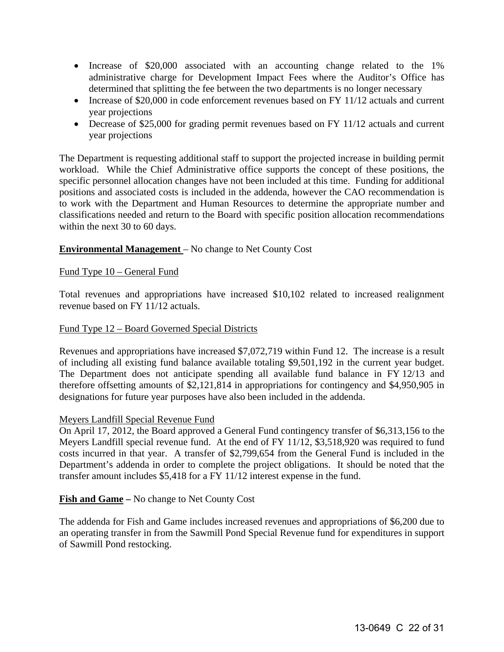- Increase of \$20,000 associated with an accounting change related to the 1% administrative charge for Development Impact Fees where the Auditor's Office has determined that splitting the fee between the two departments is no longer necessary
- Increase of \$20,000 in code enforcement revenues based on FY 11/12 actuals and current year projections
- Decrease of \$25,000 for grading permit revenues based on FY 11/12 actuals and current year projections

The Department is requesting additional staff to support the projected increase in building permit workload. While the Chief Administrative office supports the concept of these positions, the specific personnel allocation changes have not been included at this time. Funding for additional positions and associated costs is included in the addenda, however the CAO recommendation is to work with the Department and Human Resources to determine the appropriate number and classifications needed and return to the Board with specific position allocation recommendations within the next 30 to 60 days.

### **Environmental Management** – No change to Net County Cost

#### Fund Type 10 – General Fund

Total revenues and appropriations have increased \$10,102 related to increased realignment revenue based on FY 11/12 actuals.

#### Fund Type 12 – Board Governed Special Districts

Revenues and appropriations have increased \$7,072,719 within Fund 12. The increase is a result of including all existing fund balance available totaling \$9,501,192 in the current year budget. The Department does not anticipate spending all available fund balance in FY 12/13 and therefore offsetting amounts of \$2,121,814 in appropriations for contingency and \$4,950,905 in designations for future year purposes have also been included in the addenda.

#### Meyers Landfill Special Revenue Fund

On April 17, 2012, the Board approved a General Fund contingency transfer of \$6,313,156 to the Meyers Landfill special revenue fund. At the end of FY 11/12, \$3,518,920 was required to fund costs incurred in that year. A transfer of \$2,799,654 from the General Fund is included in the Department's addenda in order to complete the project obligations. It should be noted that the transfer amount includes \$5,418 for a FY 11/12 interest expense in the fund.

#### **Fish and Game –** No change to Net County Cost

The addenda for Fish and Game includes increased revenues and appropriations of \$6,200 due to an operating transfer in from the Sawmill Pond Special Revenue fund for expenditures in support of Sawmill Pond restocking.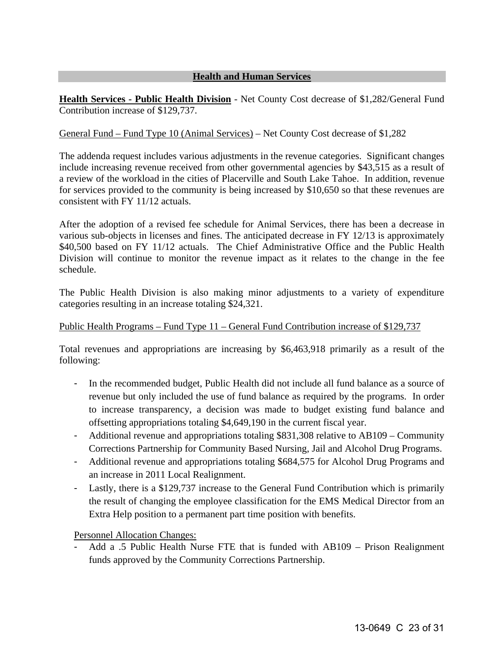## **Health and Human Services**

**Health Services - Public Health Division** - Net County Cost decrease of \$1,282/General Fund Contribution increase of \$129,737.

#### General Fund – Fund Type 10 (Animal Services) – Net County Cost decrease of \$1,282

The addenda request includes various adjustments in the revenue categories. Significant changes include increasing revenue received from other governmental agencies by \$43,515 as a result of a review of the workload in the cities of Placerville and South Lake Tahoe. In addition, revenue for services provided to the community is being increased by \$10,650 so that these revenues are consistent with FY 11/12 actuals.

After the adoption of a revised fee schedule for Animal Services, there has been a decrease in various sub-objects in licenses and fines. The anticipated decrease in FY 12/13 is approximately \$40,500 based on FY 11/12 actuals. The Chief Administrative Office and the Public Health Division will continue to monitor the revenue impact as it relates to the change in the fee schedule.

The Public Health Division is also making minor adjustments to a variety of expenditure categories resulting in an increase totaling \$24,321.

#### Public Health Programs – Fund Type 11 – General Fund Contribution increase of \$129,737

Total revenues and appropriations are increasing by \$6,463,918 primarily as a result of the following:

- In the recommended budget, Public Health did not include all fund balance as a source of revenue but only included the use of fund balance as required by the programs. In order to increase transparency, a decision was made to budget existing fund balance and offsetting appropriations totaling \$4,649,190 in the current fiscal year.
- Additional revenue and appropriations totaling \$831,308 relative to AB109 Community Corrections Partnership for Community Based Nursing, Jail and Alcohol Drug Programs.
- Additional revenue and appropriations totaling \$684,575 for Alcohol Drug Programs and an increase in 2011 Local Realignment.
- Lastly, there is a \$129,737 increase to the General Fund Contribution which is primarily the result of changing the employee classification for the EMS Medical Director from an Extra Help position to a permanent part time position with benefits.

Personnel Allocation Changes:

Add a .5 Public Health Nurse FTE that is funded with AB109 – Prison Realignment funds approved by the Community Corrections Partnership.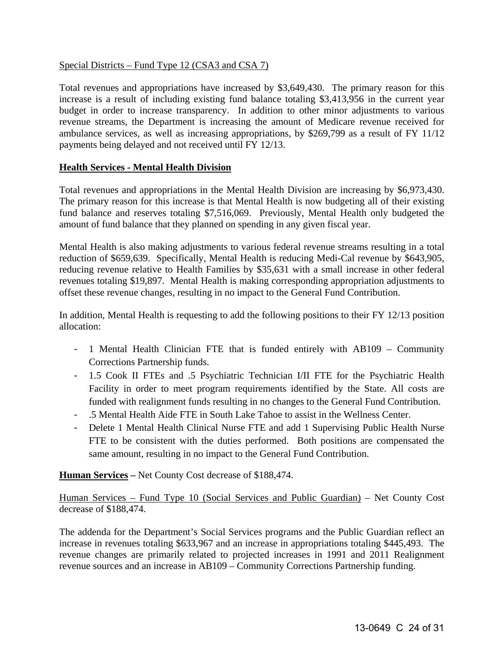#### Special Districts – Fund Type 12 (CSA3 and CSA 7)

Total revenues and appropriations have increased by \$3,649,430. The primary reason for this increase is a result of including existing fund balance totaling \$3,413,956 in the current year budget in order to increase transparency. In addition to other minor adjustments to various revenue streams, the Department is increasing the amount of Medicare revenue received for ambulance services, as well as increasing appropriations, by \$269,799 as a result of FY 11/12 payments being delayed and not received until FY 12/13.

#### **Health Services - Mental Health Division**

Total revenues and appropriations in the Mental Health Division are increasing by \$6,973,430. The primary reason for this increase is that Mental Health is now budgeting all of their existing fund balance and reserves totaling \$7,516,069. Previously, Mental Health only budgeted the amount of fund balance that they planned on spending in any given fiscal year.

Mental Health is also making adjustments to various federal revenue streams resulting in a total reduction of \$659,639. Specifically, Mental Health is reducing Medi-Cal revenue by \$643,905, reducing revenue relative to Health Families by \$35,631 with a small increase in other federal revenues totaling \$19,897. Mental Health is making corresponding appropriation adjustments to offset these revenue changes, resulting in no impact to the General Fund Contribution.

In addition, Mental Health is requesting to add the following positions to their FY 12/13 position allocation:

- 1 Mental Health Clinician FTE that is funded entirely with AB109 Community Corrections Partnership funds.
- 1.5 Cook II FTEs and .5 Psychiatric Technician I/II FTE for the Psychiatric Health Facility in order to meet program requirements identified by the State. All costs are funded with realignment funds resulting in no changes to the General Fund Contribution.
- .5 Mental Health Aide FTE in South Lake Tahoe to assist in the Wellness Center.
- Delete 1 Mental Health Clinical Nurse FTE and add 1 Supervising Public Health Nurse FTE to be consistent with the duties performed. Both positions are compensated the same amount, resulting in no impact to the General Fund Contribution.

**Human Services –** Net County Cost decrease of \$188,474.

Human Services – Fund Type 10 (Social Services and Public Guardian) – Net County Cost decrease of \$188,474.

The addenda for the Department's Social Services programs and the Public Guardian reflect an increase in revenues totaling \$633,967 and an increase in appropriations totaling \$445,493. The revenue changes are primarily related to projected increases in 1991 and 2011 Realignment revenue sources and an increase in AB109 – Community Corrections Partnership funding.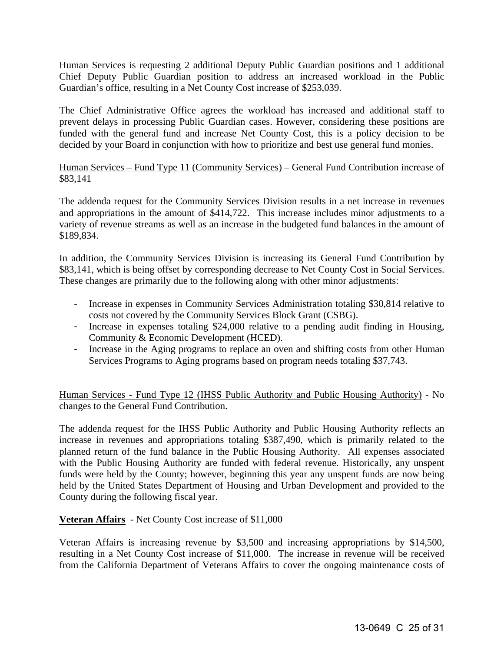Human Services is requesting 2 additional Deputy Public Guardian positions and 1 additional Chief Deputy Public Guardian position to address an increased workload in the Public Guardian's office, resulting in a Net County Cost increase of \$253,039.

The Chief Administrative Office agrees the workload has increased and additional staff to prevent delays in processing Public Guardian cases. However, considering these positions are funded with the general fund and increase Net County Cost, this is a policy decision to be decided by your Board in conjunction with how to prioritize and best use general fund monies.

#### Human Services – Fund Type 11 (Community Services) – General Fund Contribution increase of \$83,141

The addenda request for the Community Services Division results in a net increase in revenues and appropriations in the amount of \$414,722. This increase includes minor adjustments to a variety of revenue streams as well as an increase in the budgeted fund balances in the amount of \$189,834.

In addition, the Community Services Division is increasing its General Fund Contribution by \$83,141, which is being offset by corresponding decrease to Net County Cost in Social Services. These changes are primarily due to the following along with other minor adjustments:

- Increase in expenses in Community Services Administration totaling \$30,814 relative to costs not covered by the Community Services Block Grant (CSBG).
- Increase in expenses totaling \$24,000 relative to a pending audit finding in Housing, Community & Economic Development (HCED).
- Increase in the Aging programs to replace an oven and shifting costs from other Human Services Programs to Aging programs based on program needs totaling \$37,743.

Human Services - Fund Type 12 (IHSS Public Authority and Public Housing Authority) - No changes to the General Fund Contribution.

The addenda request for the IHSS Public Authority and Public Housing Authority reflects an increase in revenues and appropriations totaling \$387,490, which is primarily related to the planned return of the fund balance in the Public Housing Authority. All expenses associated with the Public Housing Authority are funded with federal revenue. Historically, any unspent funds were held by the County; however, beginning this year any unspent funds are now being held by the United States Department of Housing and Urban Development and provided to the County during the following fiscal year.

**Veteran Affairs** - Net County Cost increase of \$11,000

Veteran Affairs is increasing revenue by \$3,500 and increasing appropriations by \$14,500, resulting in a Net County Cost increase of \$11,000. The increase in revenue will be received from the California Department of Veterans Affairs to cover the ongoing maintenance costs of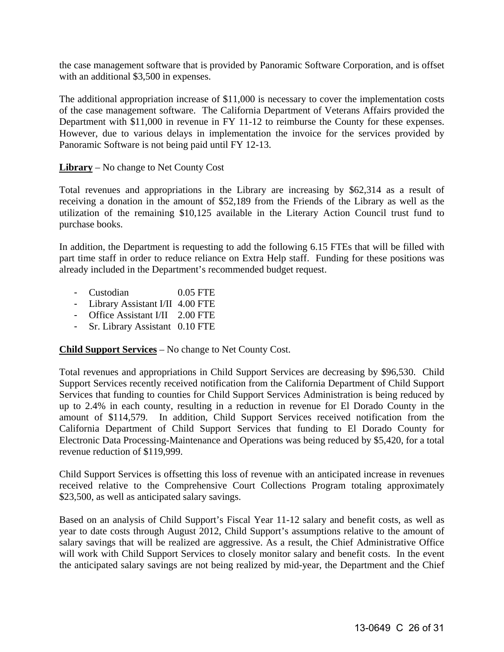the case management software that is provided by Panoramic Software Corporation, and is offset with an additional \$3,500 in expenses.

The additional appropriation increase of \$11,000 is necessary to cover the implementation costs of the case management software. The California Department of Veterans Affairs provided the Department with \$11,000 in revenue in FY 11-12 to reimburse the County for these expenses. However, due to various delays in implementation the invoice for the services provided by Panoramic Software is not being paid until FY 12-13.

#### **Library** – No change to Net County Cost

Total revenues and appropriations in the Library are increasing by \$62,314 as a result of receiving a donation in the amount of \$52,189 from the Friends of the Library as well as the utilization of the remaining \$10,125 available in the Literary Action Council trust fund to purchase books.

In addition, the Department is requesting to add the following 6.15 FTEs that will be filled with part time staff in order to reduce reliance on Extra Help staff. Funding for these positions was already included in the Department's recommended budget request.

- Custodian 0.05 FTE
- Library Assistant I/II 4.00 FTE
- Office Assistant I/II 2.00 FTE
- Sr. Library Assistant 0.10 FTE

**Child Support Services** – No change to Net County Cost.

Total revenues and appropriations in Child Support Services are decreasing by \$96,530. Child Support Services recently received notification from the California Department of Child Support Services that funding to counties for Child Support Services Administration is being reduced by up to 2.4% in each county, resulting in a reduction in revenue for El Dorado County in the amount of \$114,579. In addition, Child Support Services received notification from the California Department of Child Support Services that funding to El Dorado County for Electronic Data Processing-Maintenance and Operations was being reduced by \$5,420, for a total revenue reduction of \$119,999.

Child Support Services is offsetting this loss of revenue with an anticipated increase in revenues received relative to the Comprehensive Court Collections Program totaling approximately \$23,500, as well as anticipated salary savings.

Based on an analysis of Child Support's Fiscal Year 11-12 salary and benefit costs, as well as year to date costs through August 2012, Child Support's assumptions relative to the amount of salary savings that will be realized are aggressive. As a result, the Chief Administrative Office will work with Child Support Services to closely monitor salary and benefit costs. In the event the anticipated salary savings are not being realized by mid-year, the Department and the Chief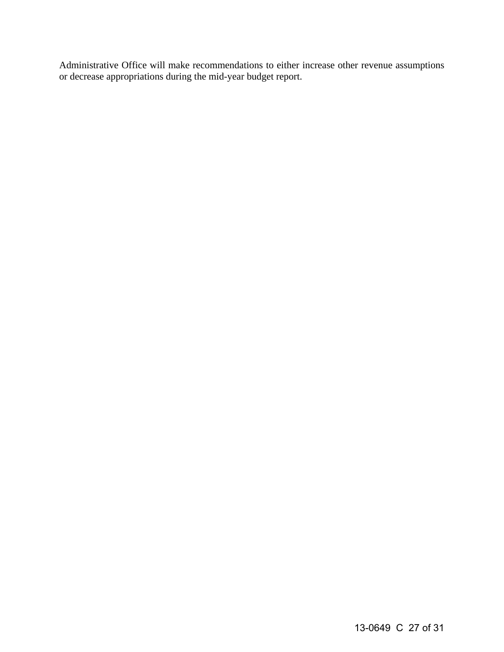Administrative Office will make recommendations to either increase other revenue assumptions or decrease appropriations during the mid-year budget report.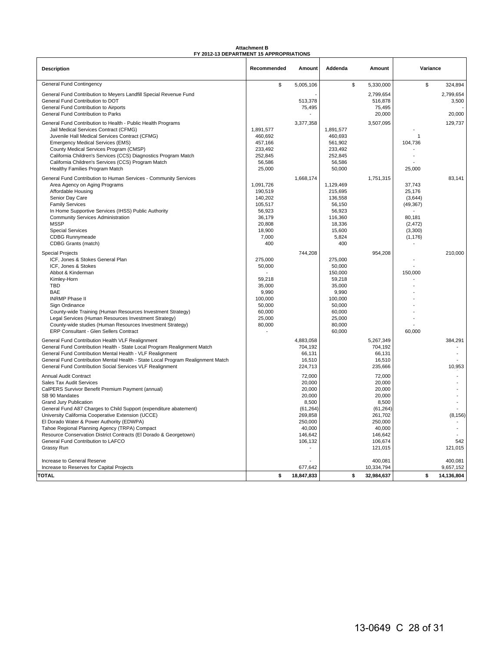#### **Attachment B FY 2012-13 DEPARTMENT 15 APPROPRIATIONS**

|                                                                                                          | FY 2012-13 DEPARTMENT 15 APPROPRIATIONS |                  |                    |                    |                     |                |
|----------------------------------------------------------------------------------------------------------|-----------------------------------------|------------------|--------------------|--------------------|---------------------|----------------|
| <b>Description</b>                                                                                       | Recommended                             | Amount           | Addenda            | Amount             |                     | Variance       |
| <b>General Fund Contingency</b>                                                                          | \$                                      | 5,005,106        | \$                 | 5,330,000          | \$                  | 324,894        |
| General Fund Contribution to Meyers Landfill Special Revenue Fund                                        |                                         |                  |                    | 2,799,654          |                     | 2,799,654      |
| General Fund Contribution to DOT                                                                         |                                         | 513,378          |                    | 516,878            |                     | 3,500          |
| General Fund Contribution to Airports                                                                    |                                         | 75,495           |                    | 75,495             |                     |                |
| General Fund Contribution to Parks                                                                       |                                         |                  |                    | 20,000             |                     | 20,000         |
| General Fund Contribution to Health - Public Health Programs                                             |                                         | 3,377,358        |                    | 3,507,095          |                     | 129,737        |
| Jail Medical Services Contract (CFMG)                                                                    | 1,891,577                               |                  | 1.891.577          |                    |                     |                |
| Juvenile Hall Medical Services Contract (CFMG)                                                           | 460,692                                 |                  | 460,693            |                    | $\mathbf{1}$        |                |
| <b>Emergency Medical Services (EMS)</b>                                                                  | 457,166                                 |                  | 561,902            |                    | 104,736             |                |
| County Medical Services Program (CMSP)<br>California Children's Services (CCS) Diagnostics Program Match | 233,492<br>252,845                      |                  | 233,492<br>252,845 |                    |                     |                |
| California Children's Services (CCS) Program Match                                                       | 56,586                                  |                  | 56,586             |                    |                     |                |
| Healthy Families Program Match                                                                           | 25,000                                  |                  | 50,000             |                    | 25,000              |                |
| General Fund Contribution to Human Services - Community Services                                         |                                         | 1,668,174        |                    | 1,751,315          |                     | 83,141         |
| Area Agency on Aging Programs                                                                            | 1,091,726                               |                  | 1,129,469          |                    | 37,743              |                |
| Affordable Housing                                                                                       | 190,519                                 |                  | 215,695            |                    | 25,176              |                |
| Senior Day Care                                                                                          | 140,202                                 |                  | 136,558            |                    | (3,644)             |                |
| <b>Family Services</b>                                                                                   | 105,517                                 |                  | 56,150             |                    | (49, 367)           |                |
| In Home Supportive Services (IHSS) Public Authority                                                      | 56,923                                  |                  | 56,923             |                    |                     |                |
| <b>Community Services Administration</b>                                                                 | 36,179                                  |                  | 116,360            |                    | 80.181              |                |
| <b>MSSP</b>                                                                                              | 20,808                                  |                  | 18,336             |                    | (2, 472)            |                |
| <b>Special Services</b><br><b>CDBG Runnymeade</b>                                                        | 18,900<br>7,000                         |                  | 15,600<br>5,824    |                    | (3,300)<br>(1, 176) |                |
| CDBG Grants (match)                                                                                      | 400                                     |                  | 400                |                    |                     |                |
| <b>Special Projects</b>                                                                                  |                                         | 744,208          |                    | 954,208            |                     | 210,000        |
| ICF, Jones & Stokes General Plan                                                                         | 275,000                                 |                  | 275,000            |                    |                     |                |
| ICF. Jones & Stokes                                                                                      | 50,000                                  |                  | 50.000             |                    |                     |                |
| Abbot & Kinderman                                                                                        |                                         |                  | 150,000            |                    | 150,000             |                |
| Kimley-Horn                                                                                              | 59,218                                  |                  | 59,218             |                    |                     |                |
| <b>TBD</b>                                                                                               | 35,000                                  |                  | 35,000             |                    |                     |                |
| <b>BAE</b>                                                                                               | 9,990                                   |                  | 9,990              |                    |                     |                |
| <b>INRMP Phase II</b><br>Sign Ordinance                                                                  | 100,000<br>50,000                       |                  | 100,000<br>50,000  |                    |                     |                |
| County-wide Training (Human Resources Investment Strategy)                                               | 60,000                                  |                  | 60,000             |                    |                     |                |
| Legal Services (Human Resources Investment Strategy)                                                     | 25,000                                  |                  | 25,000             |                    |                     |                |
| County-wide studies (Human Resources Investment Strategy)                                                | 80,000                                  |                  | 80,000             |                    |                     |                |
| ERP Consultant - Glen Sellers Contract                                                                   |                                         |                  | 60,000             |                    | 60,000              |                |
| General Fund Contribution Health VLF Realignment                                                         |                                         | 4,883,058        |                    | 5,267,349          |                     | 384,291        |
| General Fund Contribution Health - State Local Program Realignment Match                                 |                                         | 704,192          |                    | 704,192            |                     |                |
| General Fund Contribution Mental Health - VLF Realignment                                                |                                         | 66,131           |                    | 66,131             |                     |                |
| General Fund Contribution Mental Health - State Local Program Realignment Match                          |                                         | 16,510           |                    | 16,510             |                     |                |
| General Fund Contribution Social Services VLF Realignment                                                |                                         | 224,713          |                    | 235,666            |                     | 10,953         |
| Annual Audit Contract                                                                                    |                                         | 72,000           |                    | 72,000             |                     |                |
| Sales Tax Audit Services                                                                                 |                                         | 20,000           |                    | 20,000             |                     |                |
| CalPERS Survivor Benefit Premium Payment (annual)<br>SB 90 Mandates                                      |                                         | 20,000<br>20,000 |                    | 20,000<br>20,000   |                     |                |
| <b>Grand Jury Publication</b>                                                                            |                                         | 8,500            |                    | 8.500              |                     |                |
| General Fund A87 Charges to Child Support (expenditure abatement)                                        |                                         | (61, 264)        |                    | (61, 264)          |                     |                |
| University California Cooperative Extension (UCCE)                                                       |                                         | 269,858          |                    | 261,702            |                     | (8, 156)       |
| El Dorado Water & Power Authority (EDWPA)                                                                |                                         | 250,000          |                    | 250,000            |                     |                |
| Tahoe Regional Planning Agency (TRPA) Compact                                                            |                                         | 40,000           |                    | 40,000             |                     |                |
| Resource Conservation District Contracts (El Dorado & Georgetown)<br>General Fund Contribution to LAFCO  |                                         | 146,642          |                    | 146,642<br>106,674 |                     |                |
| Grassy Run                                                                                               |                                         | 106,132          |                    | 121,015            |                     | 542<br>121,015 |
|                                                                                                          |                                         |                  |                    |                    |                     |                |
| Increase to General Reserve                                                                              |                                         |                  |                    | 400,081            |                     | 400,081        |
| Increase to Reserves for Capital Projects                                                                |                                         | 677,642          |                    | 10,334,794         |                     | 9,657,152      |
| <b>TOTAL</b>                                                                                             | \$                                      | 18.847.833       | \$                 | 32.984.637         | \$                  | 14,136,804     |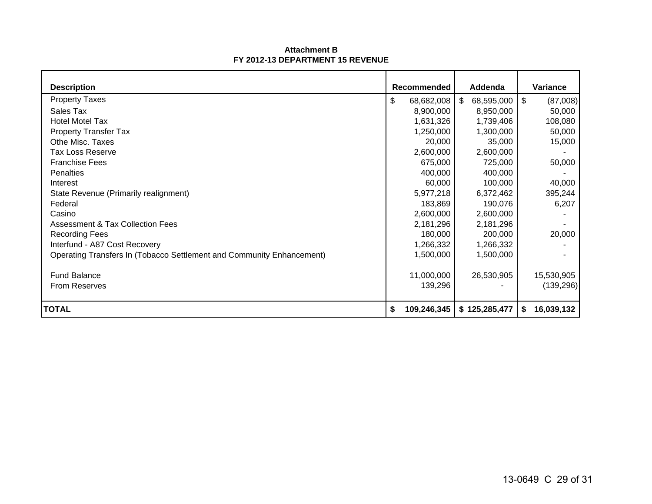#### **Attachment BFY 2012-13 DEPARTMENT 15 REVENUE**

| <b>Description</b>                                                    | Recommended       | Addenda          | Variance         |
|-----------------------------------------------------------------------|-------------------|------------------|------------------|
|                                                                       |                   |                  |                  |
| <b>Property Taxes</b>                                                 | \$<br>68,682,008  | 68,595,000<br>\$ | \$<br>(87,008)   |
| Sales Tax                                                             | 8,900,000         | 8,950,000        | 50,000           |
| <b>Hotel Motel Tax</b>                                                | 1,631,326         | 1,739,406        | 108,080          |
| <b>Property Transfer Tax</b>                                          | 1,250,000         | 1,300,000        | 50,000           |
| Othe Misc. Taxes                                                      | 20,000            | 35,000           | 15,000           |
| <b>Tax Loss Reserve</b>                                               | 2,600,000         | 2,600,000        |                  |
| <b>Franchise Fees</b>                                                 | 675,000           | 725,000          | 50,000           |
| Penalties                                                             | 400,000           | 400,000          |                  |
| Interest                                                              | 60,000            | 100,000          | 40,000           |
| State Revenue (Primarily realignment)                                 | 5,977,218         | 6,372,462        | 395,244          |
| Federal                                                               | 183,869           | 190,076          | 6,207            |
| Casino                                                                | 2,600,000         | 2,600,000        |                  |
| <b>Assessment &amp; Tax Collection Fees</b>                           | 2,181,296         | 2,181,296        |                  |
| <b>Recording Fees</b>                                                 | 180,000           | 200,000          | 20,000           |
| Interfund - A87 Cost Recovery                                         | 1,266,332         | 1,266,332        |                  |
| Operating Transfers In (Tobacco Settlement and Community Enhancement) | 1,500,000         | 1,500,000        |                  |
|                                                                       |                   |                  |                  |
| <b>Fund Balance</b>                                                   | 11,000,000        | 26,530,905       | 15,530,905       |
| <b>From Reserves</b>                                                  | 139,296           |                  | (139, 296)       |
| <b>TOTAL</b>                                                          | \$<br>109,246,345 | \$125,285,477    | 16,039,132<br>S. |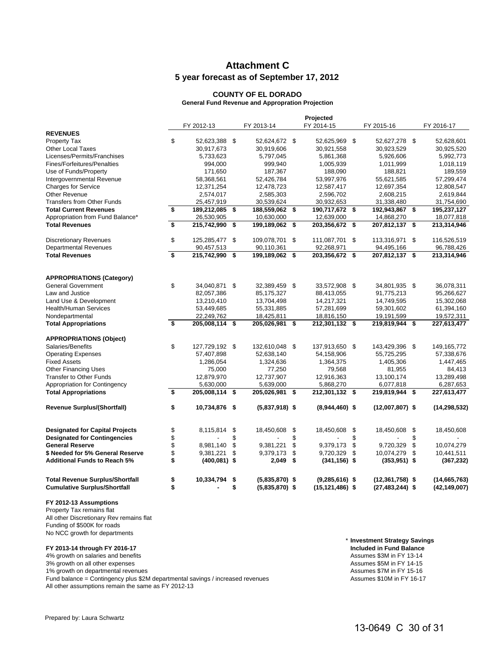#### **Attachment C 5 year forecast as of September 17, 2012**

#### **COUNTY OF EL DORADO**

**General Fund Revenue and Appropration Projection**

|                                                                               |                         | Projected       |          |                                      |    |                                         |                                            |                                |
|-------------------------------------------------------------------------------|-------------------------|-----------------|----------|--------------------------------------|----|-----------------------------------------|--------------------------------------------|--------------------------------|
|                                                                               |                         | FY 2012-13      |          | FY 2013-14                           |    | FY 2014-15                              | FY 2015-16                                 | FY 2016-17                     |
| <b>REVENUES</b>                                                               |                         |                 |          |                                      |    |                                         |                                            |                                |
| Property Tax                                                                  | \$                      | 52,623,388 \$   |          | 52,624,672 \$                        |    | 52,625,969 \$                           | 52,627,278 \$                              | 52,628,601                     |
| <b>Other Local Taxes</b>                                                      |                         | 30,917,673      |          | 30,919,606                           |    | 30,921,558                              | 30,923,529                                 | 30,925,520                     |
| Licenses/Permits/Franchises                                                   |                         | 5,733,623       |          | 5,797,045                            |    | 5,861,368                               | 5,926,606                                  | 5,992,773                      |
| Fines/Forfeitures/Penalties                                                   |                         | 994,000         |          | 999,940                              |    | 1,005,939                               | 1,011,999                                  | 1,018,119                      |
| Use of Funds/Property                                                         |                         | 171,650         |          | 187,367                              |    | 188,090                                 | 188,821                                    | 189,559                        |
| Intergovernmental Revenue                                                     |                         | 58,368,561      |          | 52,426,784                           |    | 53,997,976                              | 55,621,585                                 | 57,299,474                     |
| <b>Charges for Service</b>                                                    |                         | 12,371,254      |          | 12,478,723                           |    | 12,587,417                              | 12,697,354                                 | 12,808,547                     |
| Other Revenue                                                                 |                         | 2,574,017       |          | 2,585,303                            |    | 2,596,702                               | 2,608,215                                  | 2,619,844                      |
| <b>Transfers from Other Funds</b>                                             |                         | 25,457,919      |          | 30,539,624                           |    | 30,932,653                              | 31,338,480                                 | 31,754,690                     |
| <b>Total Current Revenues</b>                                                 | \$                      | 189,212,085 \$  |          | 188,559,062 \$                       |    | 190,717,672 \$                          | 192,943,867 \$                             | 195,237,127                    |
| Appropriation from Fund Balance*                                              |                         | 26,530,905      |          | 10,630,000                           |    | 12,639,000                              | 14,868,270                                 | 18,077,818                     |
| <b>Total Revenues</b>                                                         | $\overline{\mathbf{s}}$ | 215,742,990 \$  |          | 199,189,062 \$                       |    | 203,356,672 \$                          | 207,812,137 \$                             | 213,314,946                    |
| <b>Discretionary Revenues</b>                                                 | \$                      | 125,285,477 \$  |          | 109,078,701 \$                       |    | 111,087,701 \$                          | 113,316,971 \$                             | 116,526,519                    |
| <b>Departmental Revenues</b>                                                  |                         | 90,457,513      |          | 90,110,361                           |    | 92,268,971                              | 94,495,166                                 | 96,788,426                     |
| <b>Total Revenues</b>                                                         | \$                      | 215,742,990     | \$       | 199, 189, 062 \$                     |    | 203,356,672 \$                          | 207,812,137 \$                             | 213,314,946                    |
|                                                                               |                         |                 |          |                                      |    |                                         |                                            |                                |
| <b>APPROPRIATIONS (Category)</b>                                              |                         |                 |          |                                      |    |                                         |                                            |                                |
| <b>General Government</b>                                                     | \$                      | 34,040,871 \$   |          | 32,389,459 \$                        |    | 33,572,908 \$                           | 34,801,935 \$                              | 36,078,311                     |
| Law and Justice                                                               |                         | 82,057,386      |          | 85,175,327                           |    | 88,413,055                              | 91,775,213                                 | 95,266,627                     |
| Land Use & Development                                                        |                         | 13,210,410      |          | 13,704,498                           |    | 14,217,321                              | 14,749,595                                 | 15,302,068                     |
| <b>Health/Human Services</b>                                                  |                         | 53,449,685      |          | 55,331,885                           |    | 57,281,699                              | 59,301,602                                 | 61,394,160                     |
| Nondepartmental                                                               |                         | 22,249,762      |          | 18,425,811                           |    | 18,816,150                              | 19,191,599                                 | 19,572,311                     |
| <b>Total Appropriations</b>                                                   | s                       | 205,008,114 \$  |          | 205,026,981 \$                       |    | 212,301,132 \$                          | 219,819,944 \$                             | 227,613,477                    |
| <b>APPROPRIATIONS (Object)</b>                                                |                         |                 |          |                                      |    |                                         |                                            |                                |
| Salaries/Benefits                                                             | \$                      | 127,729,192 \$  |          | 132,610,048 \$                       |    | 137,913,650 \$                          | 143,429,396 \$                             | 149, 165, 772                  |
| <b>Operating Expenses</b>                                                     |                         | 57,407,898      |          | 52,638,140                           |    | 54,158,906                              | 55,725,295                                 | 57,338,676                     |
| <b>Fixed Assets</b>                                                           |                         | 1,286,054       |          | 1,324,636                            |    | 1,364,375                               | 1,405,306                                  | 1,447,465                      |
| <b>Other Financing Uses</b>                                                   |                         | 75,000          |          | 77,250                               |    | 79,568                                  | 81,955                                     | 84,413                         |
| <b>Transfer to Other Funds</b>                                                |                         | 12,879,970      |          | 12,737,907                           |    | 12,916,363                              | 13,100,174                                 | 13,289,498                     |
| Appropriation for Contingency                                                 |                         | 5,630,000       |          | 5,639,000                            |    | 5,868,270                               | 6,077,818                                  | 6,287,653                      |
| <b>Total Appropriations</b>                                                   | \$                      | 205,008,114 \$  |          | 205,026,981 \$                       |    | 212,301,132 \$                          | 219,819,944 \$                             | 227,613,477                    |
| <b>Revenue Surplus/(Shortfall)</b>                                            | \$                      | 10,734,876 \$   |          | $(5,837,918)$ \$                     |    | $(8,944,460)$ \$                        | $(12,007,807)$ \$                          | (14, 298, 532)                 |
| <b>Designated for Capital Projects</b>                                        | \$                      | 8,115,814       | \$       | 18,450,608                           | \$ | 18,450,608                              | \$<br>18,450,608                           | \$<br>18,450,608               |
| <b>Designated for Contingencies</b>                                           | \$                      |                 | \$       |                                      | \$ |                                         | \$                                         | \$                             |
| <b>General Reserve</b>                                                        | \$                      | 8,981,140       | \$       | 9,381,221                            | \$ | 9,379,173                               | \$<br>9,720,329                            | \$<br>10,074,279               |
| \$ Needed for 5% General Reserve                                              | \$                      | 9,381,221       | \$       | 9,379,173                            | \$ | 9,720,329                               | \$<br>10,074,279                           | \$<br>10,441,511               |
| <b>Additional Funds to Reach 5%</b>                                           | \$                      | $(400, 081)$ \$ |          | 2,049                                | \$ | $(341, 156)$ \$                         | $(353, 951)$ \$                            | (367, 232)                     |
|                                                                               |                         |                 |          |                                      |    |                                         |                                            |                                |
| <b>Total Revenue Surplus/Shortfall</b><br><b>Cumulative Surplus/Shortfall</b> | \$<br>\$                | 10,334,794      | \$<br>\$ | $(5,835,870)$ \$<br>$(5,835,870)$ \$ |    | $(9,285,616)$ \$<br>$(15, 121, 486)$ \$ | $(12, 361, 758)$ \$<br>$(27, 483, 244)$ \$ | (14,665,763)<br>(42, 149, 007) |
|                                                                               |                         |                 |          |                                      |    |                                         |                                            |                                |

**FY 2012-13 Assumptions**

Property Tax remains flat All other Discretionary Rev remains flat Funding of \$500K for roads No NCC growth for departments

1% growth on departmental revenues<br>
Fund balance = Contingency plus \$2M departmental savings / increased revenues<br>
Fund balance = Contingency plus \$2M departmental savings / increased revenues<br>
The Sasumes \$10M in FY 16-17 Fund balance = Contingency plus  $$2M$  departmental savings / increased revenues All other assumptions remain the same as FY 2012-13

\* **Investment Strategy Savings FY 2013-14 through FY 2016-17 Included in Fund Balance**

4% growth on salaries and benefits and the state of the state of the state of the state of the state of the state of the state of the state of the state of the state of the state of the state of the state of the state of t 3% growth on all other expenses <br>1% growth on departmental revenues <br>1% growth on departmental revenues <br>Assumes \$7M in FY 15-16